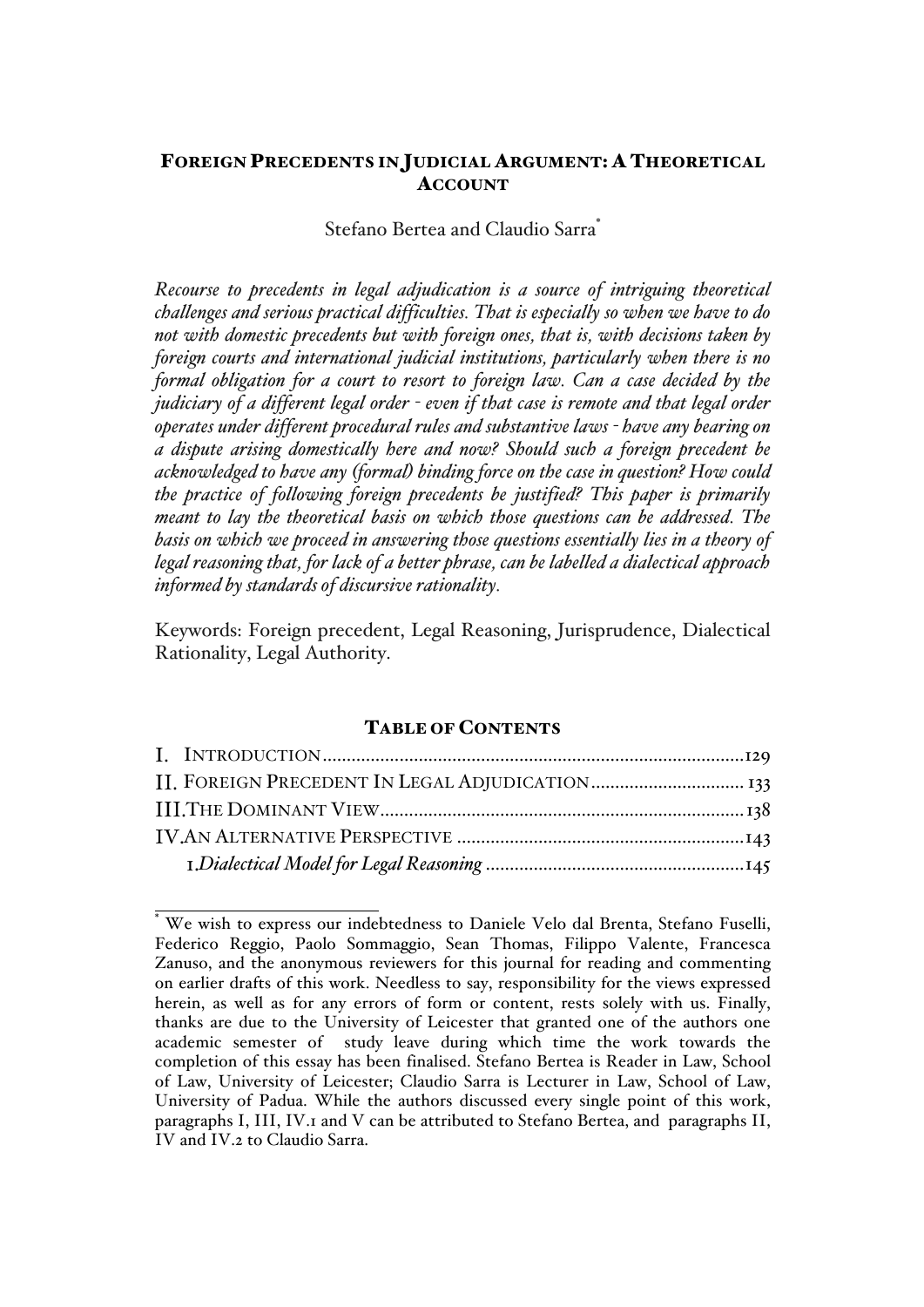# FOREIGN PRECEDENTS IN JUDICIAL ARGUMENT: A THEORETICAL **ACCOUNT**

# Stefano Bertea and Claudio Sarra<sup>\*</sup>

*Recourse to precedents in legal adjudication is a source of intriguing theoretical challenges and serious practical difficulties. That is especially so when we have to do not with domestic precedents but with foreign ones, that is, with decisions taken by foreign courts and international judicial institutions, particularly when there is no formal obligation for a court to resort to foreign law. Can a case decided by the judiciary of a different legal order - even if that case is remote and that legal order operates under different procedural rules and substantive laws - have any bearing on a dispute arising domestically here and now? Should such a foreign precedent be acknowledged to have any (formal) binding force on the case in question? How could the practice of following foreign precedents be justified? This paper is primarily meant to lay the theoretical basis on which those questions can be addressed. The basis on which we proceed in answering those questions essentially lies in a theory of legal reasoning that, for lack of a better phrase, can be labelled a dialectical approach informed by standards of discursive rationality.* 

Keywords: Foreign precedent, Legal Reasoning, Jurisprudence, Dialectical Rationality, Legal Authority.

#### TABLE OF CONTENTS

We wish to express our indebtedness to Daniele Velo dal Brenta, Stefano Fuselli, Federico Reggio, Paolo Sommaggio, Sean Thomas, Filippo Valente, Francesca Zanuso, and the anonymous reviewers for this journal for reading and commenting on earlier drafts of this work. Needless to say, responsibility for the views expressed herein, as well as for any errors of form or content, rests solely with us. Finally, thanks are due to the University of Leicester that granted one of the authors one academic semester of study leave during which time the work towards the completion of this essay has been finalised. Stefano Bertea is Reader in Law, School of Law, University of Leicester; Claudio Sarra is Lecturer in Law, School of Law, University of Padua. While the authors discussed every single point of this work, paragraphs I, III, IV.1 and V can be attributed to Stefano Bertea, and paragraphs II, IV and IV.2 to Claudio Sarra.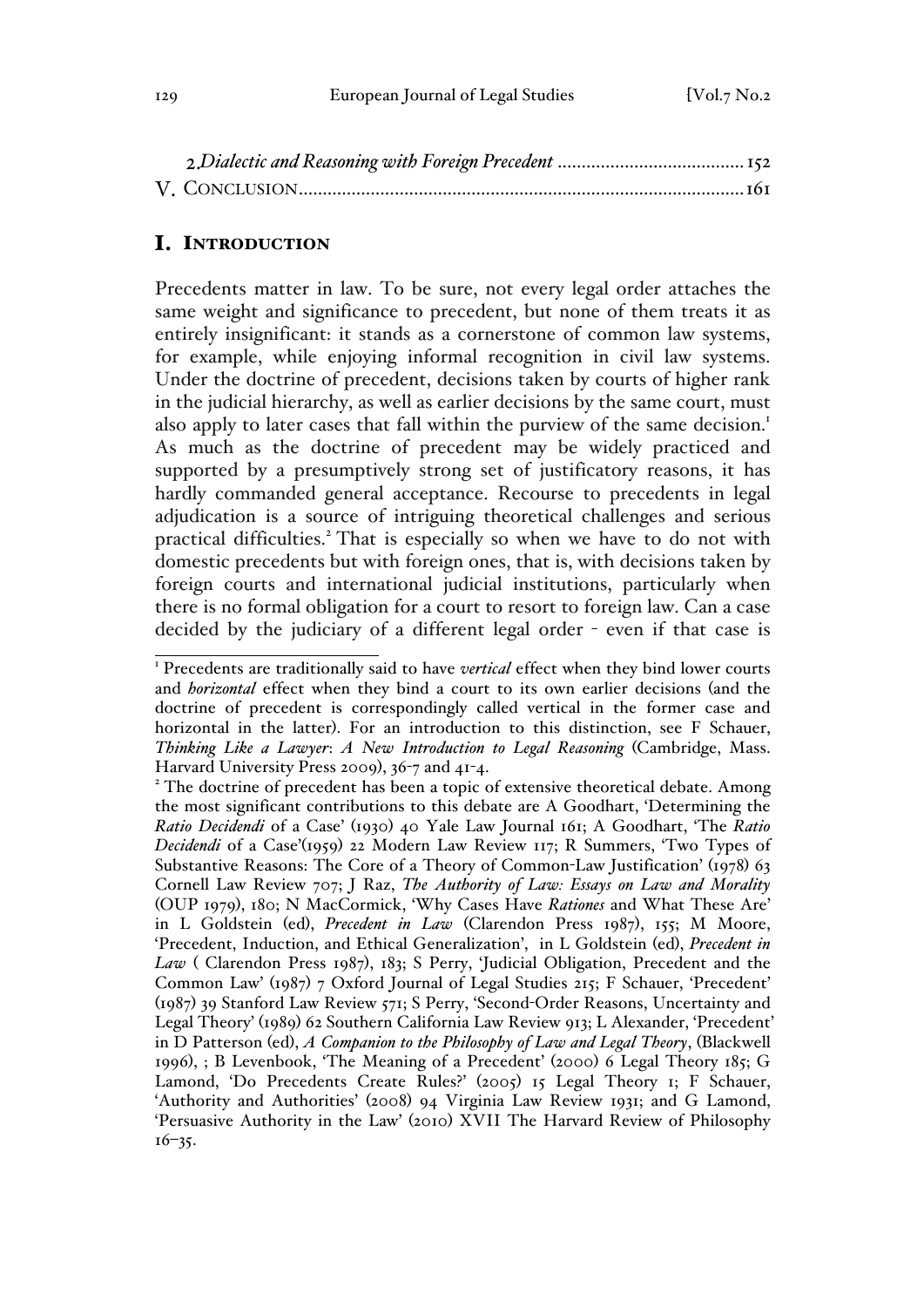#### I. INTRODUCTION

Precedents matter in law. To be sure, not every legal order attaches the same weight and significance to precedent, but none of them treats it as entirely insignificant: it stands as a cornerstone of common law systems, for example, while enjoying informal recognition in civil law systems. Under the doctrine of precedent, decisions taken by courts of higher rank in the judicial hierarchy, as well as earlier decisions by the same court, must also apply to later cases that fall within the purview of the same decision.<sup>1</sup> As much as the doctrine of precedent may be widely practiced and supported by a presumptively strong set of justificatory reasons, it has hardly commanded general acceptance. Recourse to precedents in legal adjudication is a source of intriguing theoretical challenges and serious practical difficulties.<sup>2</sup> That is especially so when we have to do not with domestic precedents but with foreign ones, that is, with decisions taken by foreign courts and international judicial institutions, particularly when there is no formal obligation for a court to resort to foreign law. Can a case decided by the judiciary of a different legal order - even if that case is

<sup>&</sup>lt;sup>1</sup> Precedents are traditionally said to have *vertical* effect when they bind lower courts and *horizontal* effect when they bind a court to its own earlier decisions (and the doctrine of precedent is correspondingly called vertical in the former case and horizontal in the latter). For an introduction to this distinction, see F Schauer, *Thinking Like a Lawyer*: *A New Introduction to Legal Reasoning* (Cambridge, Mass. Harvard University Press 2009), 36-7 and 41-4.<br><sup>2</sup> The doctrine of precedent has been a topic of extensive theoretical debate. Among

the most significant contributions to this debate are A Goodhart, 'Determining the *Ratio Decidendi* of a Case' (1930) 40 Yale Law Journal 161; A Goodhart, 'The *Ratio Decidendi* of a Case'(1959) 22 Modern Law Review 117; R Summers, 'Two Types of Substantive Reasons: The Core of a Theory of Common-Law Justification' (1978) 63 Cornell Law Review 707; J Raz, *The Authority of Law: Essays on Law and Morality* (OUP 1979), 180; N MacCormick, 'Why Cases Have *Rationes* and What These Are' in L Goldstein (ed), *Precedent in Law* (Clarendon Press 1987), 155; M Moore, 'Precedent, Induction, and Ethical Generalization', in L Goldstein (ed), *Precedent in Law* ( Clarendon Press 1987), 183; S Perry, 'Judicial Obligation, Precedent and the Common Law' (1987) 7 Oxford Journal of Legal Studies 215; F Schauer, 'Precedent' (1987) 39 Stanford Law Review 571; S Perry, 'Second-Order Reasons, Uncertainty and Legal Theory' (1989) 62 Southern California Law Review 913; L Alexander, 'Precedent' in D Patterson (ed), *A Companion to the Philosophy of Law and Legal Theory*, (Blackwell 1996), ; B Levenbook, 'The Meaning of a Precedent' (2000) 6 Legal Theory 185; G Lamond, 'Do Precedents Create Rules?' (2005) 15 Legal Theory 1; F Schauer, 'Authority and Authorities' (2008) 94 Virginia Law Review 1931; and G Lamond, 'Persuasive Authority in the Law' (2010) XVII The Harvard Review of Philosophy  $16 - 35$ .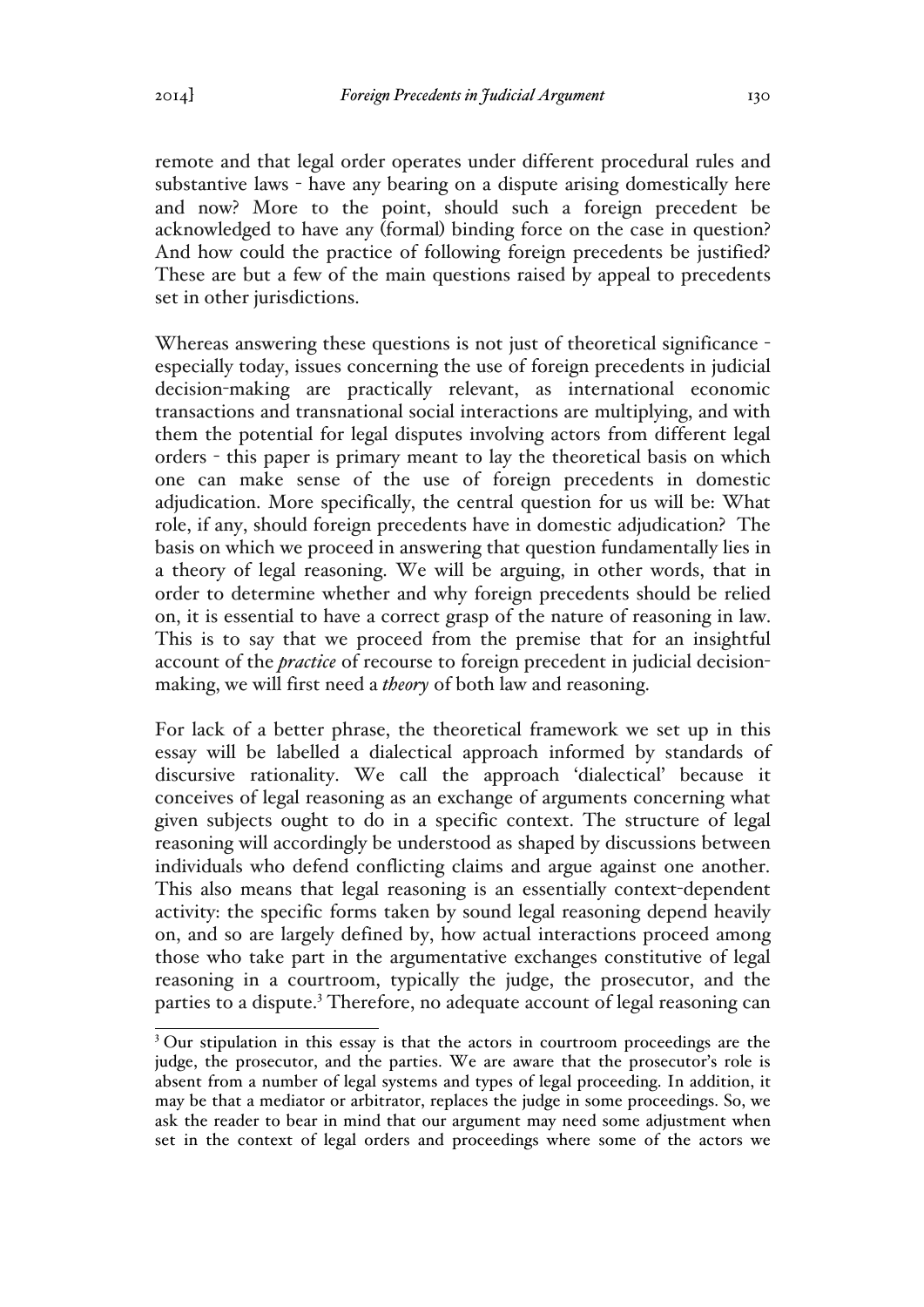remote and that legal order operates under different procedural rules and substantive laws - have any bearing on a dispute arising domestically here and now? More to the point, should such a foreign precedent be acknowledged to have any (formal) binding force on the case in question? And how could the practice of following foreign precedents be justified? These are but a few of the main questions raised by appeal to precedents set in other jurisdictions.

Whereas answering these questions is not just of theoretical significance especially today, issues concerning the use of foreign precedents in judicial decision-making are practically relevant, as international economic transactions and transnational social interactions are multiplying, and with them the potential for legal disputes involving actors from different legal orders - this paper is primary meant to lay the theoretical basis on which one can make sense of the use of foreign precedents in domestic adjudication. More specifically, the central question for us will be: What role, if any, should foreign precedents have in domestic adjudication? The basis on which we proceed in answering that question fundamentally lies in a theory of legal reasoning. We will be arguing, in other words, that in order to determine whether and why foreign precedents should be relied on, it is essential to have a correct grasp of the nature of reasoning in law. This is to say that we proceed from the premise that for an insightful account of the *practice* of recourse to foreign precedent in judicial decisionmaking, we will first need a *theory* of both law and reasoning.

For lack of a better phrase, the theoretical framework we set up in this essay will be labelled a dialectical approach informed by standards of discursive rationality. We call the approach 'dialectical' because it conceives of legal reasoning as an exchange of arguments concerning what given subjects ought to do in a specific context. The structure of legal reasoning will accordingly be understood as shaped by discussions between individuals who defend conflicting claims and argue against one another. This also means that legal reasoning is an essentially context-dependent activity: the specific forms taken by sound legal reasoning depend heavily on, and so are largely defined by, how actual interactions proceed among those who take part in the argumentative exchanges constitutive of legal reasoning in a courtroom, typically the judge, the prosecutor, and the parties to a dispute.<sup>3</sup> Therefore, no adequate account of legal reasoning can

<sup>&</sup>lt;sup>3</sup> Our stipulation in this essay is that the actors in courtroom proceedings are the judge, the prosecutor, and the parties. We are aware that the prosecutor's role is absent from a number of legal systems and types of legal proceeding. In addition, it may be that a mediator or arbitrator, replaces the judge in some proceedings. So, we ask the reader to bear in mind that our argument may need some adjustment when set in the context of legal orders and proceedings where some of the actors we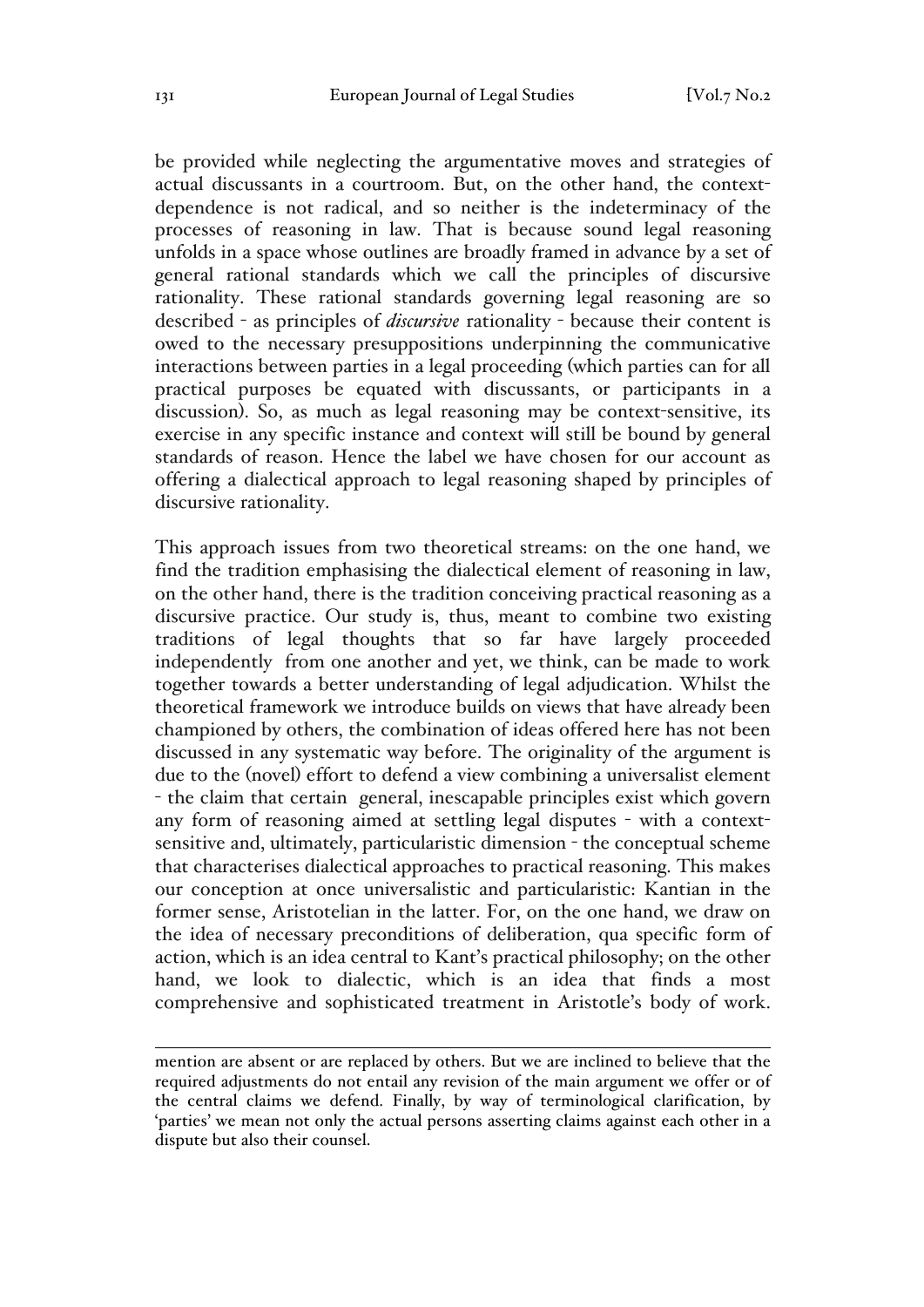be provided while neglecting the argumentative moves and strategies of actual discussants in a courtroom. But, on the other hand, the contextdependence is not radical, and so neither is the indeterminacy of the processes of reasoning in law. That is because sound legal reasoning unfolds in a space whose outlines are broadly framed in advance by a set of general rational standards which we call the principles of discursive rationality. These rational standards governing legal reasoning are so described - as principles of *discursive* rationality - because their content is owed to the necessary presuppositions underpinning the communicative interactions between parties in a legal proceeding (which parties can for all practical purposes be equated with discussants, or participants in a discussion). So, as much as legal reasoning may be context-sensitive, its exercise in any specific instance and context will still be bound by general standards of reason. Hence the label we have chosen for our account as offering a dialectical approach to legal reasoning shaped by principles of discursive rationality.

This approach issues from two theoretical streams: on the one hand, we find the tradition emphasising the dialectical element of reasoning in law, on the other hand, there is the tradition conceiving practical reasoning as a discursive practice. Our study is, thus, meant to combine two existing traditions of legal thoughts that so far have largely proceeded independently from one another and yet, we think, can be made to work together towards a better understanding of legal adjudication. Whilst the theoretical framework we introduce builds on views that have already been championed by others, the combination of ideas offered here has not been discussed in any systematic way before. The originality of the argument is due to the (novel) effort to defend a view combining a universalist element - the claim that certain general, inescapable principles exist which govern any form of reasoning aimed at settling legal disputes - with a contextsensitive and, ultimately, particularistic dimension - the conceptual scheme that characterises dialectical approaches to practical reasoning. This makes our conception at once universalistic and particularistic: Kantian in the former sense, Aristotelian in the latter. For, on the one hand, we draw on the idea of necessary preconditions of deliberation, qua specific form of action, which is an idea central to Kant's practical philosophy; on the other hand, we look to dialectic, which is an idea that finds a most comprehensive and sophisticated treatment in Aristotle's body of work.

 $\overline{a}$ mention are absent or are replaced by others. But we are inclined to believe that the required adjustments do not entail any revision of the main argument we offer or of the central claims we defend. Finally, by way of terminological clarification, by 'parties' we mean not only the actual persons asserting claims against each other in a dispute but also their counsel.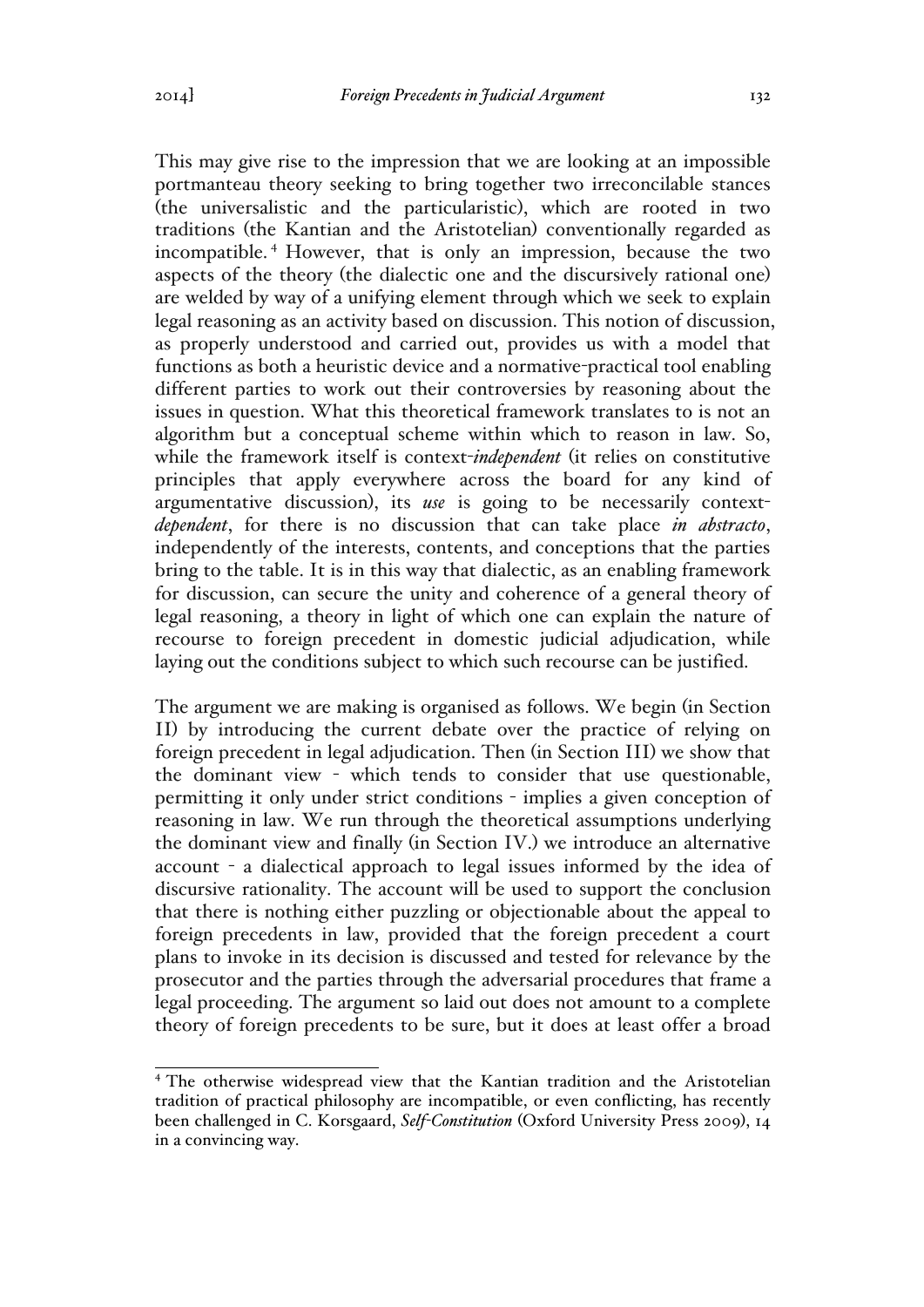This may give rise to the impression that we are looking at an impossible portmanteau theory seeking to bring together two irreconcilable stances (the universalistic and the particularistic), which are rooted in two traditions (the Kantian and the Aristotelian) conventionally regarded as incompatible. <sup>4</sup> However, that is only an impression, because the two aspects of the theory (the dialectic one and the discursively rational one) are welded by way of a unifying element through which we seek to explain legal reasoning as an activity based on discussion. This notion of discussion, as properly understood and carried out, provides us with a model that functions as both a heuristic device and a normative-practical tool enabling different parties to work out their controversies by reasoning about the issues in question. What this theoretical framework translates to is not an algorithm but a conceptual scheme within which to reason in law. So, while the framework itself is context-*independent* (it relies on constitutive principles that apply everywhere across the board for any kind of argumentative discussion), its *use* is going to be necessarily context*dependent*, for there is no discussion that can take place *in abstracto*, independently of the interests, contents, and conceptions that the parties bring to the table. It is in this way that dialectic, as an enabling framework for discussion, can secure the unity and coherence of a general theory of legal reasoning, a theory in light of which one can explain the nature of recourse to foreign precedent in domestic judicial adjudication, while laying out the conditions subject to which such recourse can be justified.

The argument we are making is organised as follows. We begin (in Section II) by introducing the current debate over the practice of relying on foreign precedent in legal adjudication. Then (in Section III) we show that the dominant view - which tends to consider that use questionable, permitting it only under strict conditions - implies a given conception of reasoning in law. We run through the theoretical assumptions underlying the dominant view and finally (in Section IV.) we introduce an alternative account - a dialectical approach to legal issues informed by the idea of discursive rationality. The account will be used to support the conclusion that there is nothing either puzzling or objectionable about the appeal to foreign precedents in law, provided that the foreign precedent a court plans to invoke in its decision is discussed and tested for relevance by the prosecutor and the parties through the adversarial procedures that frame a legal proceeding. The argument so laid out does not amount to a complete theory of foreign precedents to be sure, but it does at least offer a broad

<sup>4</sup> The otherwise widespread view that the Kantian tradition and the Aristotelian tradition of practical philosophy are incompatible, or even conflicting, has recently been challenged in C. Korsgaard, *Self-Constitution* (Oxford University Press 2009), 14 in a convincing way.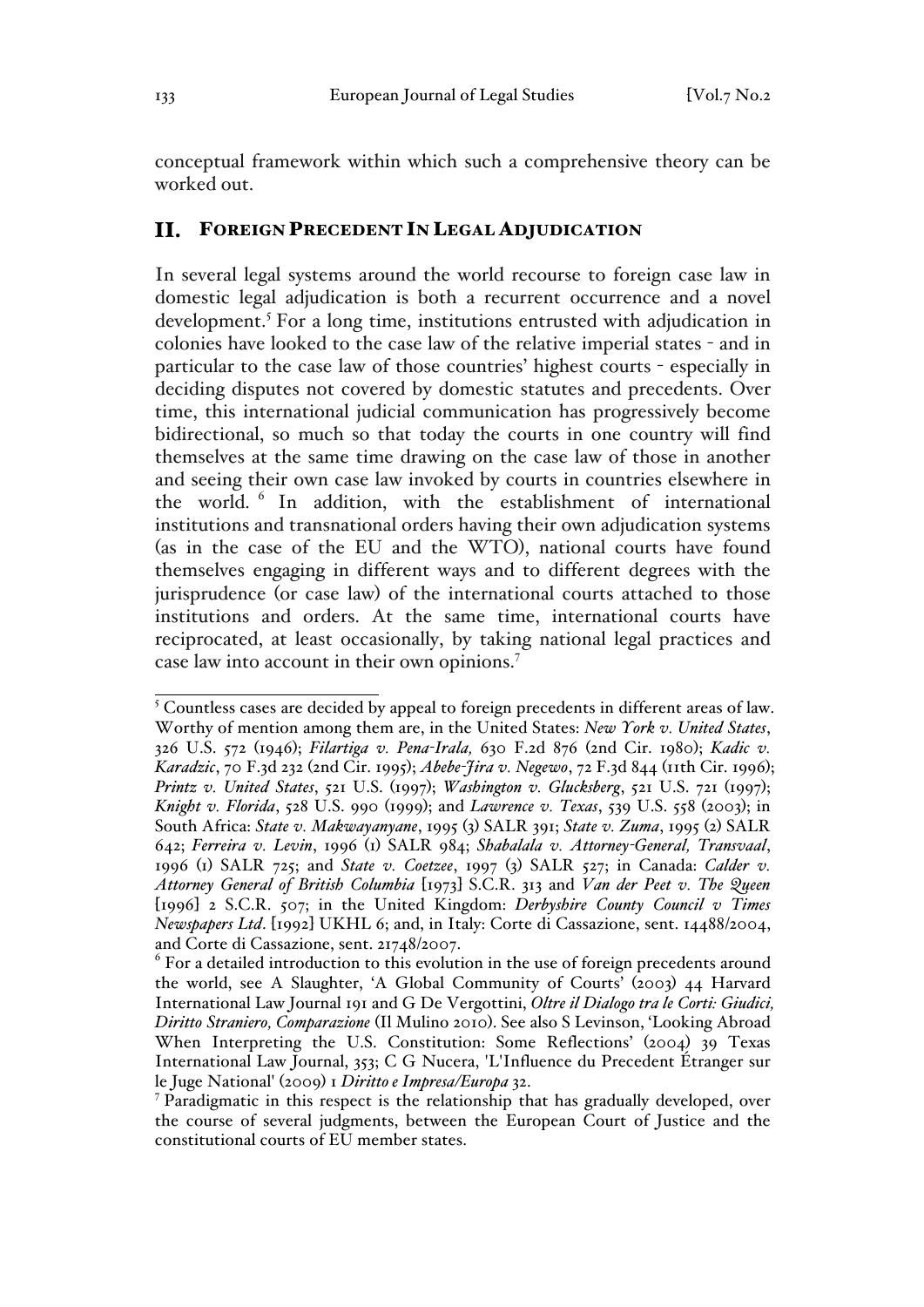conceptual framework within which such a comprehensive theory can be worked out.

# FOREIGN PRECEDENT IN LEGAL ADJUDICATION

In several legal systems around the world recourse to foreign case law in domestic legal adjudication is both a recurrent occurrence and a novel development.<sup>5</sup> For a long time, institutions entrusted with adjudication in colonies have looked to the case law of the relative imperial states - and in particular to the case law of those countries' highest courts - especially in deciding disputes not covered by domestic statutes and precedents. Over time, this international judicial communication has progressively become bidirectional, so much so that today the courts in one country will find themselves at the same time drawing on the case law of those in another and seeing their own case law invoked by courts in countries elsewhere in the world. <sup>6</sup> In addition, with the establishment of international institutions and transnational orders having their own adjudication systems (as in the case of the EU and the WTO), national courts have found themselves engaging in different ways and to different degrees with the jurisprudence (or case law) of the international courts attached to those institutions and orders. At the same time, international courts have reciprocated, at least occasionally, by taking national legal practices and case law into account in their own opinions.7

<sup>&</sup>lt;sup>5</sup> Countless cases are decided by appeal to foreign precedents in different areas of law. Worthy of mention among them are, in the United States: *New York v. United States*, 326 U.S. 572 (1946); *Filartiga v. Pena-Irala,* 630 F.2d 876 (2nd Cir. 1980); *Kadic v. Karadzic*, 70 F.3d 232 (2nd Cir. 1995); *Abebe-Jira v. Negewo*, 72 F.3d 844 (11th Cir. 1996); *Printz v. United States*, 521 U.S. (1997); *Washington v. Glucksberg*, 521 U.S. 721 (1997); *Knight v. Florida*, 528 U.S. 990 (1999); and *Lawrence v. Texas*, 539 U.S. 558 (2003); in South Africa: *State v. Makwayanyane*, 1995 (3) SALR 391; *State v. Zuma*, 1995 (2) SALR 642; *Ferreira v. Levin*, 1996 (1) SALR 984; *Shabalala v. Attorney-General, Transvaal*, 1996 (1) SALR 725; and *State v. Coetzee*, 1997 (3) SALR 527; in Canada: *Calder v. Attorney General of British Columbia* [1973] S.C.R. 313 and *Van der Peet v. The Queen*  [1996] 2 S.C.R. 507; in the United Kingdom: *Derbyshire County Council v Times Newspapers Ltd*. [1992] UKHL 6; and, in Italy: Corte di Cassazione, sent. 14488/2004, and Corte di Cassazione, sent. 21748/2007.

 $6$  For a detailed introduction to this evolution in the use of foreign precedents around the world, see A Slaughter, 'A Global Community of Courts' (2003) 44 Harvard International Law Journal 191 and G De Vergottini, *Oltre il Dialogo tra le Corti: Giudici, Diritto Straniero, Comparazione* (Il Mulino 2010). See also S Levinson, 'Looking Abroad When Interpreting the U.S. Constitution: Some Reflections' (2004) 39 Texas International Law Journal, 353; C G Nucera, 'L'Influence du Precedent Étranger sur le Juge National' (2009) 1 *Diritto e Impresa/Europa* 32.

<sup>7</sup> Paradigmatic in this respect is the relationship that has gradually developed, over the course of several judgments, between the European Court of Justice and the constitutional courts of EU member states.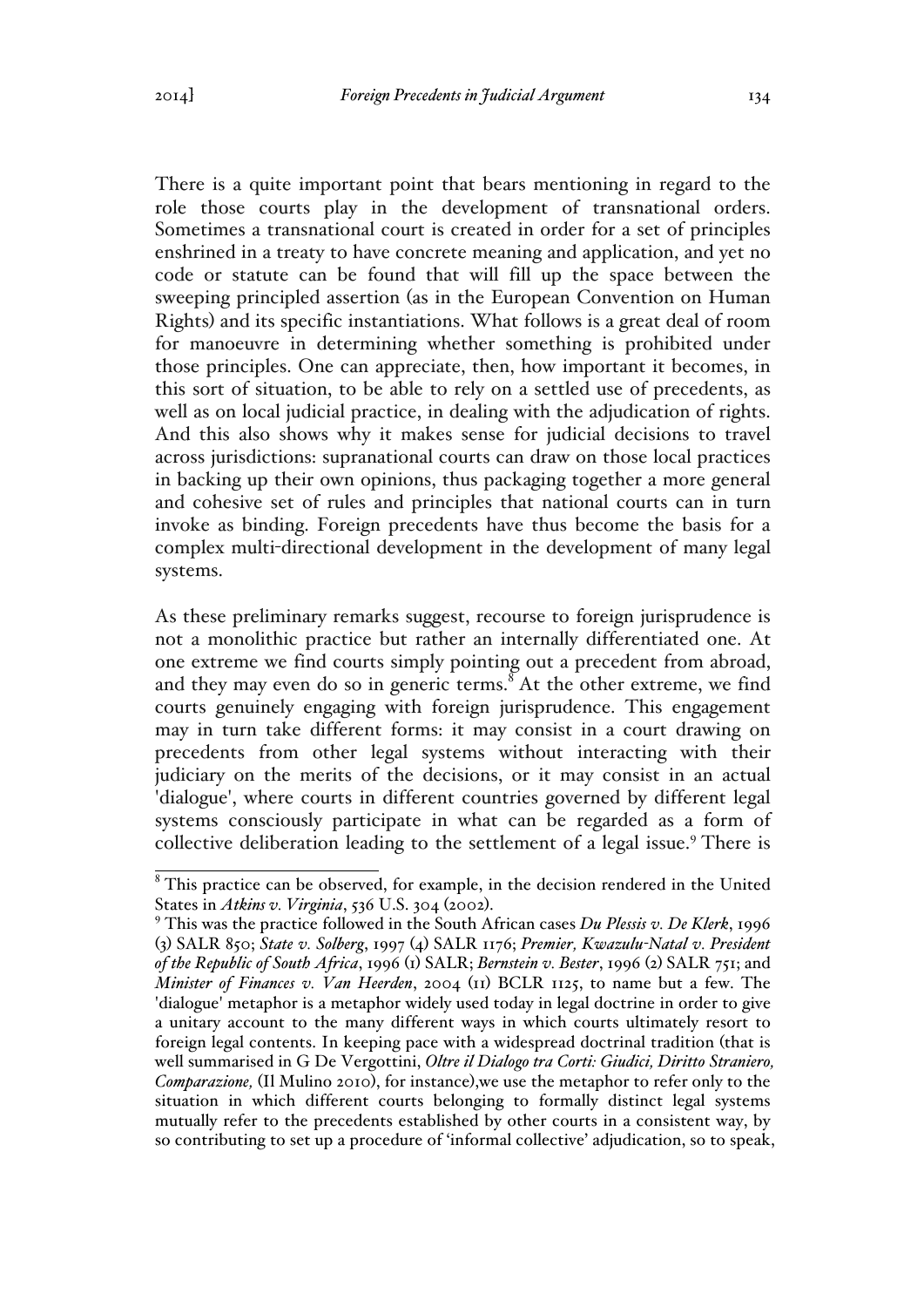There is a quite important point that bears mentioning in regard to the role those courts play in the development of transnational orders. Sometimes a transnational court is created in order for a set of principles enshrined in a treaty to have concrete meaning and application, and yet no code or statute can be found that will fill up the space between the sweeping principled assertion (as in the European Convention on Human Rights) and its specific instantiations. What follows is a great deal of room for manoeuvre in determining whether something is prohibited under those principles. One can appreciate, then, how important it becomes, in this sort of situation, to be able to rely on a settled use of precedents, as well as on local judicial practice, in dealing with the adjudication of rights. And this also shows why it makes sense for judicial decisions to travel across jurisdictions: supranational courts can draw on those local practices in backing up their own opinions, thus packaging together a more general and cohesive set of rules and principles that national courts can in turn invoke as binding. Foreign precedents have thus become the basis for a complex multi-directional development in the development of many legal systems.

As these preliminary remarks suggest, recourse to foreign jurisprudence is not a monolithic practice but rather an internally differentiated one. At one extreme we find courts simply pointing out a precedent from abroad, and they may even do so in generic terms.<sup>8</sup> At the other extreme, we find courts genuinely engaging with foreign jurisprudence. This engagement may in turn take different forms: it may consist in a court drawing on precedents from other legal systems without interacting with their judiciary on the merits of the decisions, or it may consist in an actual 'dialogue', where courts in different countries governed by different legal systems consciously participate in what can be regarded as a form of collective deliberation leading to the settlement of a legal issue.<sup>9</sup> There is

 $8$ This practice can be observed, for example, in the decision rendered in the United States in *Atkins v. Virginia*, 536 U.S. 304 (2002). 9 This was the practice followed in the South African cases *Du Plessis v. De Klerk*, 1996

<sup>(</sup>3) SALR 850; *State v. Solberg*, 1997 (4) SALR 1176; *Premier, Kwazulu-Natal v. President of the Republic of South Africa*, 1996 (1) SALR; *Bernstein v. Bester*, 1996 (2) SALR 751; and *Minister of Finances v. Van Heerden*, 2004 (11) BCLR 1125, to name but a few. The 'dialogue' metaphor is a metaphor widely used today in legal doctrine in order to give a unitary account to the many different ways in which courts ultimately resort to foreign legal contents. In keeping pace with a widespread doctrinal tradition (that is well summarised in G De Vergottini, *Oltre il Dialogo tra Corti: Giudici, Diritto Straniero, Comparazione,* (Il Mulino 2010), for instance),we use the metaphor to refer only to the situation in which different courts belonging to formally distinct legal systems mutually refer to the precedents established by other courts in a consistent way, by so contributing to set up a procedure of 'informal collective' adjudication, so to speak,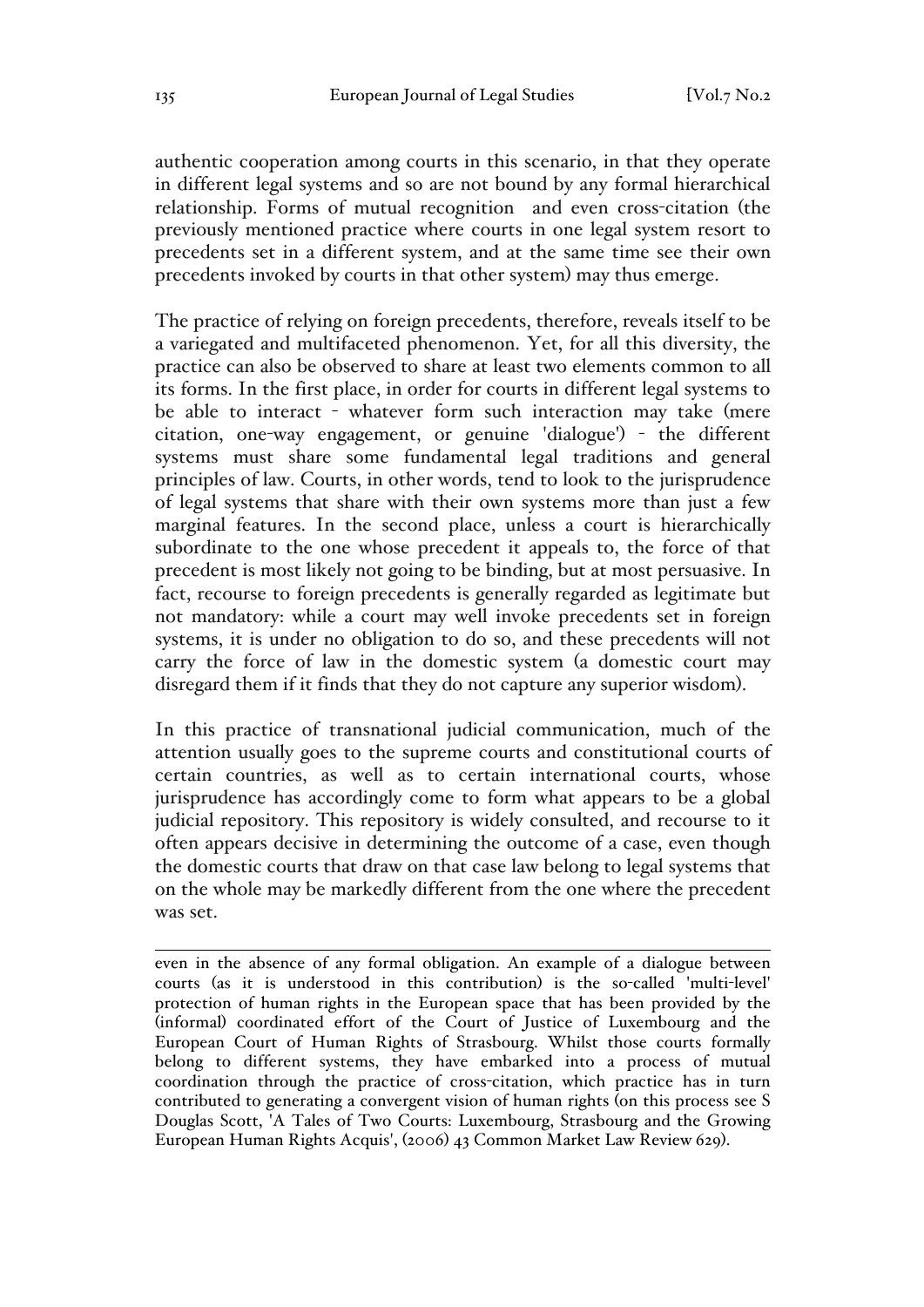authentic cooperation among courts in this scenario, in that they operate in different legal systems and so are not bound by any formal hierarchical relationship. Forms of mutual recognition and even cross-citation (the previously mentioned practice where courts in one legal system resort to precedents set in a different system, and at the same time see their own precedents invoked by courts in that other system) may thus emerge.

The practice of relying on foreign precedents, therefore, reveals itself to be a variegated and multifaceted phenomenon. Yet, for all this diversity, the practice can also be observed to share at least two elements common to all its forms. In the first place, in order for courts in different legal systems to be able to interact - whatever form such interaction may take (mere citation, one-way engagement, or genuine 'dialogue') - the different systems must share some fundamental legal traditions and general principles of law. Courts, in other words, tend to look to the jurisprudence of legal systems that share with their own systems more than just a few marginal features. In the second place, unless a court is hierarchically subordinate to the one whose precedent it appeals to, the force of that precedent is most likely not going to be binding, but at most persuasive. In fact, recourse to foreign precedents is generally regarded as legitimate but not mandatory: while a court may well invoke precedents set in foreign systems, it is under no obligation to do so, and these precedents will not carry the force of law in the domestic system (a domestic court may disregard them if it finds that they do not capture any superior wisdom).

In this practice of transnational judicial communication, much of the attention usually goes to the supreme courts and constitutional courts of certain countries, as well as to certain international courts, whose jurisprudence has accordingly come to form what appears to be a global judicial repository. This repository is widely consulted, and recourse to it often appears decisive in determining the outcome of a case, even though the domestic courts that draw on that case law belong to legal systems that on the whole may be markedly different from the one where the precedent was set.

 $\overline{a}$ even in the absence of any formal obligation. An example of a dialogue between courts (as it is understood in this contribution) is the so-called 'multi-level' protection of human rights in the European space that has been provided by the (informal) coordinated effort of the Court of Justice of Luxembourg and the European Court of Human Rights of Strasbourg. Whilst those courts formally belong to different systems, they have embarked into a process of mutual coordination through the practice of cross-citation, which practice has in turn contributed to generating a convergent vision of human rights (on this process see S Douglas Scott, 'A Tales of Two Courts: Luxembourg, Strasbourg and the Growing European Human Rights Acquis', (2006) 43 Common Market Law Review 629).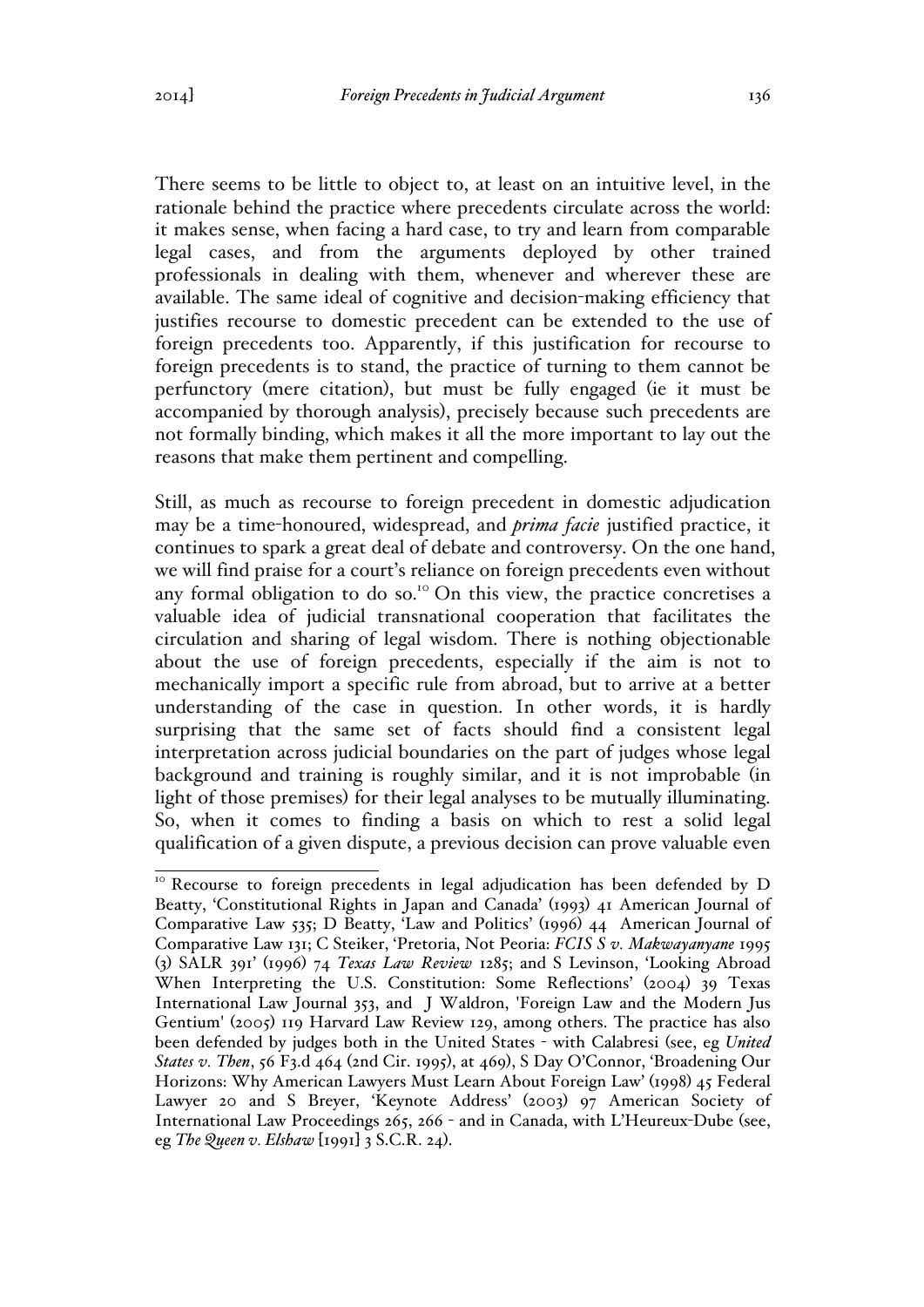There seems to be little to object to, at least on an intuitive level, in the rationale behind the practice where precedents circulate across the world: it makes sense, when facing a hard case, to try and learn from comparable legal cases, and from the arguments deployed by other trained professionals in dealing with them, whenever and wherever these are available. The same ideal of cognitive and decision-making efficiency that justifies recourse to domestic precedent can be extended to the use of foreign precedents too. Apparently, if this justification for recourse to foreign precedents is to stand, the practice of turning to them cannot be perfunctory (mere citation), but must be fully engaged (ie it must be accompanied by thorough analysis), precisely because such precedents are not formally binding, which makes it all the more important to lay out the reasons that make them pertinent and compelling.

Still, as much as recourse to foreign precedent in domestic adjudication may be a time-honoured, widespread, and *prima facie* justified practice, it continues to spark a great deal of debate and controversy. On the one hand, we will find praise for a court's reliance on foreign precedents even without any formal obligation to do so.<sup>10</sup> On this view, the practice concretises a valuable idea of judicial transnational cooperation that facilitates the circulation and sharing of legal wisdom. There is nothing objectionable about the use of foreign precedents, especially if the aim is not to mechanically import a specific rule from abroad, but to arrive at a better understanding of the case in question. In other words, it is hardly surprising that the same set of facts should find a consistent legal interpretation across judicial boundaries on the part of judges whose legal background and training is roughly similar, and it is not improbable (in light of those premises) for their legal analyses to be mutually illuminating. So, when it comes to finding a basis on which to rest a solid legal qualification of a given dispute, a previous decision can prove valuable even

<sup>&</sup>lt;sup>10</sup> Recourse to foreign precedents in legal adjudication has been defended by D Beatty, 'Constitutional Rights in Japan and Canada' (1993) 41 American Journal of Comparative Law 535; D Beatty, 'Law and Politics' (1996) 44 American Journal of Comparative Law 131; C Steiker, 'Pretoria, Not Peoria: *FCIS S v. Makwayanyane* 1995 (3) SALR 391' (1996) 74 *Texas Law Review* 1285; and S Levinson, 'Looking Abroad When Interpreting the U.S. Constitution: Some Reflections' (2004) 39 Texas International Law Journal 353, and J Waldron, 'Foreign Law and the Modern Jus Gentium' (2005) 119 Harvard Law Review 129, among others. The practice has also been defended by judges both in the United States - with Calabresi (see, eg *United States v. Then*, 56 F3.d 464 (2nd Cir. 1995), at 469), S Day O'Connor, 'Broadening Our Horizons: Why American Lawyers Must Learn About Foreign Law' (1998) 45 Federal Lawyer 20 and S Breyer, 'Keynote Address' (2003) 97 American Society of International Law Proceedings 265, 266 - and in Canada, with L'Heureux-Dube (see, eg *The Queen v. Elshaw* [1991] 3 S.C.R. 24).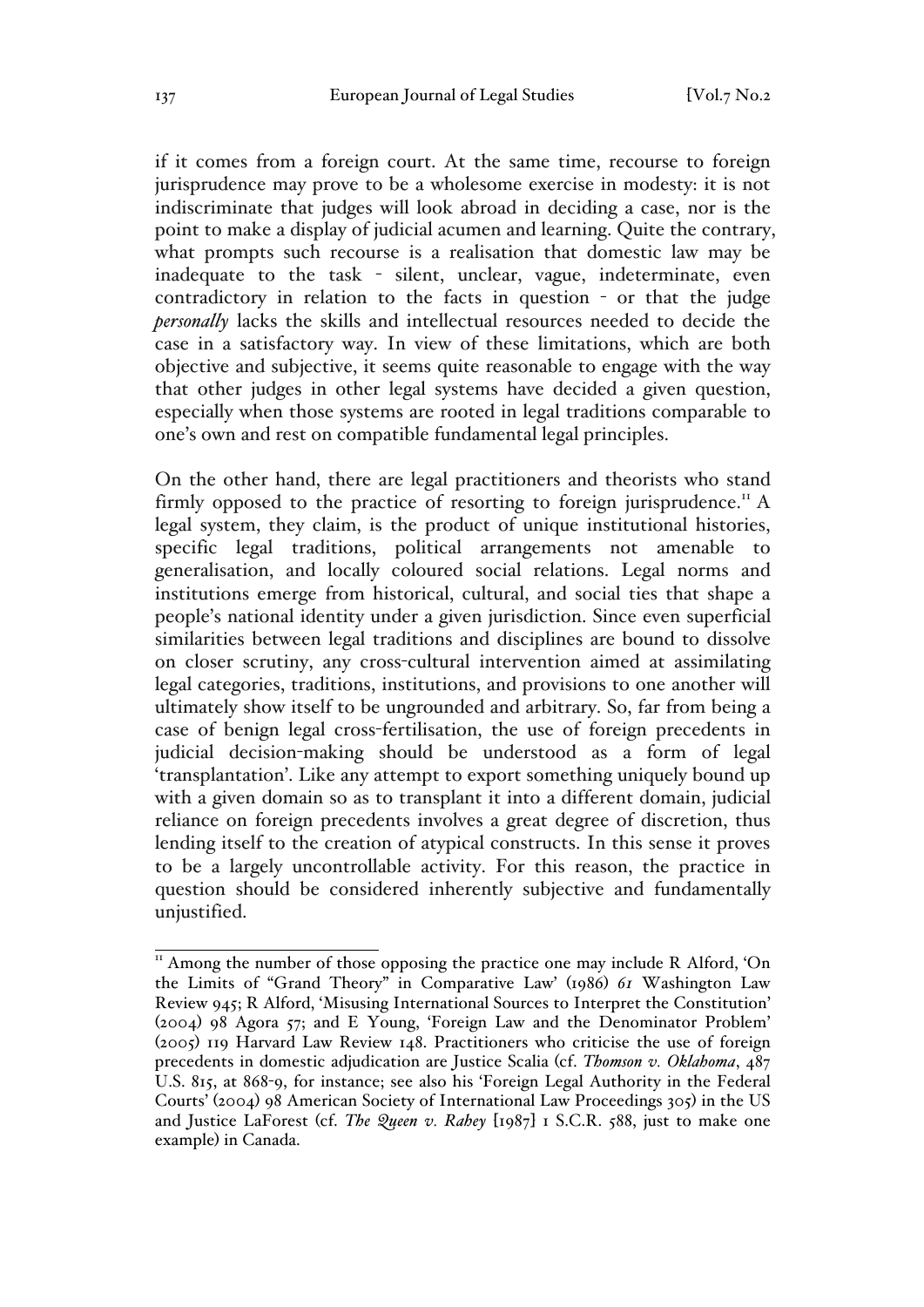if it comes from a foreign court. At the same time, recourse to foreign jurisprudence may prove to be a wholesome exercise in modesty: it is not indiscriminate that judges will look abroad in deciding a case, nor is the point to make a display of judicial acumen and learning. Quite the contrary, what prompts such recourse is a realisation that domestic law may be inadequate to the task - silent, unclear, vague, indeterminate, even contradictory in relation to the facts in question - or that the judge *personally* lacks the skills and intellectual resources needed to decide the case in a satisfactory way. In view of these limitations, which are both objective and subjective, it seems quite reasonable to engage with the way that other judges in other legal systems have decided a given question, especially when those systems are rooted in legal traditions comparable to one's own and rest on compatible fundamental legal principles.

On the other hand, there are legal practitioners and theorists who stand firmly opposed to the practice of resorting to foreign jurisprudence.<sup>11</sup> A legal system, they claim, is the product of unique institutional histories, specific legal traditions, political arrangements not amenable to generalisation, and locally coloured social relations. Legal norms and institutions emerge from historical, cultural, and social ties that shape a people's national identity under a given jurisdiction. Since even superficial similarities between legal traditions and disciplines are bound to dissolve on closer scrutiny, any cross-cultural intervention aimed at assimilating legal categories, traditions, institutions, and provisions to one another will ultimately show itself to be ungrounded and arbitrary. So, far from being a case of benign legal cross-fertilisation, the use of foreign precedents in judicial decision-making should be understood as a form of legal 'transplantation'. Like any attempt to export something uniquely bound up with a given domain so as to transplant it into a different domain, judicial reliance on foreign precedents involves a great degree of discretion, thus lending itself to the creation of atypical constructs. In this sense it proves to be a largely uncontrollable activity. For this reason, the practice in question should be considered inherently subjective and fundamentally unjustified.

 $11$ <sup>II</sup> Among the number of those opposing the practice one may include R Alford, 'On the Limits of "Grand Theory" in Comparative Law' (1986) *61* Washington Law Review 945; R Alford, 'Misusing International Sources to Interpret the Constitution' (2004) 98 Agora 57; and E Young, 'Foreign Law and the Denominator Problem' (2005) 119 Harvard Law Review 148. Practitioners who criticise the use of foreign precedents in domestic adjudication are Justice Scalia (cf. *Thomson v. Oklahoma*, 487 U.S. 815, at 868-9, for instance; see also his 'Foreign Legal Authority in the Federal Courts' (2004) 98 American Society of International Law Proceedings 305) in the US and Justice LaForest (cf. *The Queen v. Rahey* [1987] 1 S.C.R. 588, just to make one example) in Canada.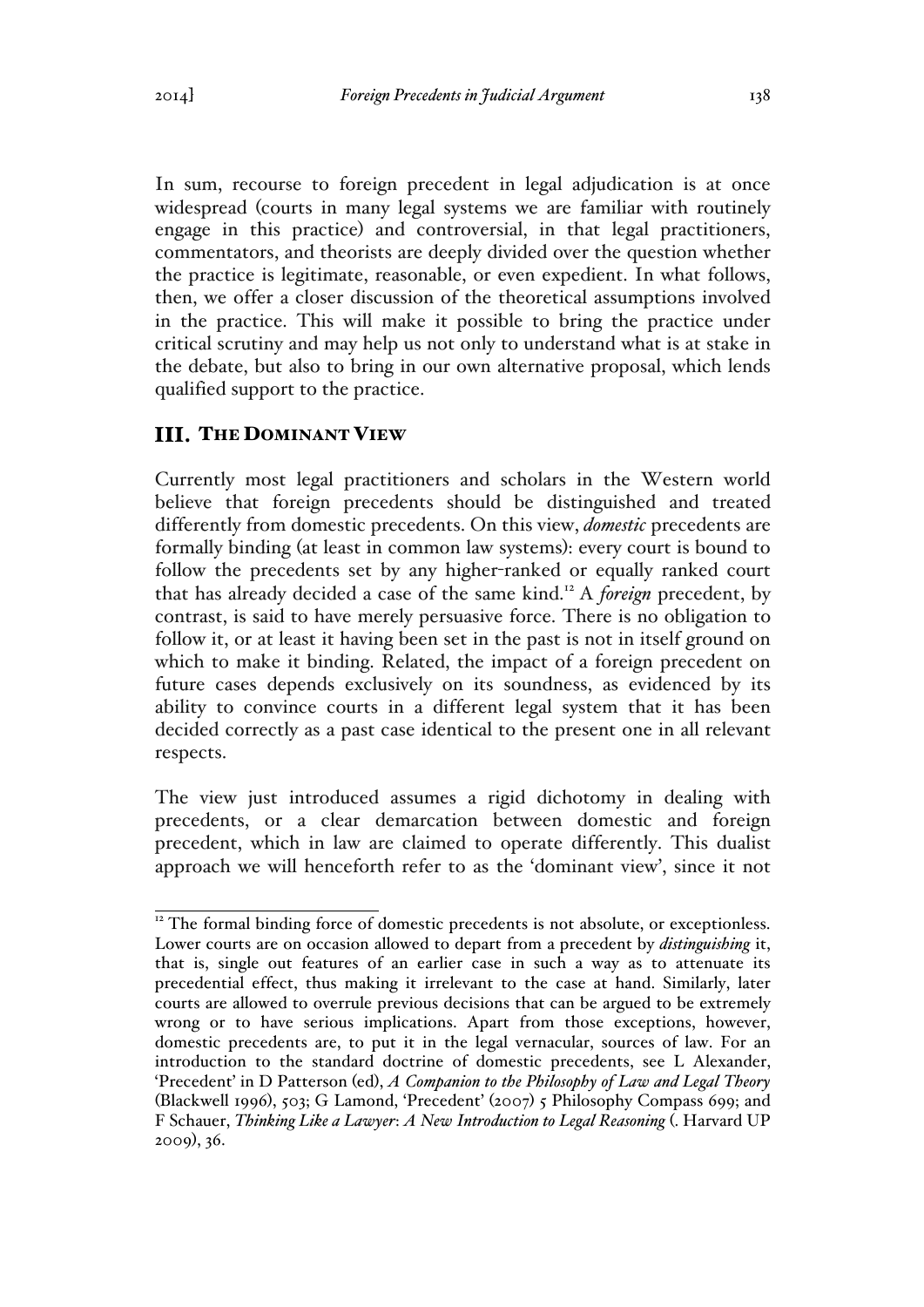In sum, recourse to foreign precedent in legal adjudication is at once widespread (courts in many legal systems we are familiar with routinely engage in this practice) and controversial, in that legal practitioners, commentators, and theorists are deeply divided over the question whether the practice is legitimate, reasonable, or even expedient. In what follows, then, we offer a closer discussion of the theoretical assumptions involved in the practice. This will make it possible to bring the practice under critical scrutiny and may help us not only to understand what is at stake in the debate, but also to bring in our own alternative proposal, which lends qualified support to the practice.

# **III. THE DOMINANT VIEW**

Currently most legal practitioners and scholars in the Western world believe that foreign precedents should be distinguished and treated differently from domestic precedents. On this view, *domestic* precedents are formally binding (at least in common law systems): every court is bound to follow the precedents set by any higher-ranked or equally ranked court that has already decided a case of the same kind.<sup>12</sup> A *foreign* precedent, by contrast, is said to have merely persuasive force. There is no obligation to follow it, or at least it having been set in the past is not in itself ground on which to make it binding. Related, the impact of a foreign precedent on future cases depends exclusively on its soundness, as evidenced by its ability to convince courts in a different legal system that it has been decided correctly as a past case identical to the present one in all relevant respects.

The view just introduced assumes a rigid dichotomy in dealing with precedents, or a clear demarcation between domestic and foreign precedent, which in law are claimed to operate differently. This dualist approach we will henceforth refer to as the 'dominant view', since it not

<sup>&</sup>lt;sup>12</sup> The formal binding force of domestic precedents is not absolute, or exceptionless. Lower courts are on occasion allowed to depart from a precedent by *distinguishing* it, that is, single out features of an earlier case in such a way as to attenuate its precedential effect, thus making it irrelevant to the case at hand. Similarly, later courts are allowed to overrule previous decisions that can be argued to be extremely wrong or to have serious implications. Apart from those exceptions, however, domestic precedents are, to put it in the legal vernacular, sources of law. For an introduction to the standard doctrine of domestic precedents, see L Alexander, 'Precedent' in D Patterson (ed), *A Companion to the Philosophy of Law and Legal Theory* (Blackwell 1996), 503; G Lamond, 'Precedent' (2007) 5 Philosophy Compass 699; and F Schauer, *Thinking Like a Lawyer*: *A New Introduction to Legal Reasoning* (. Harvard UP 2009), 36.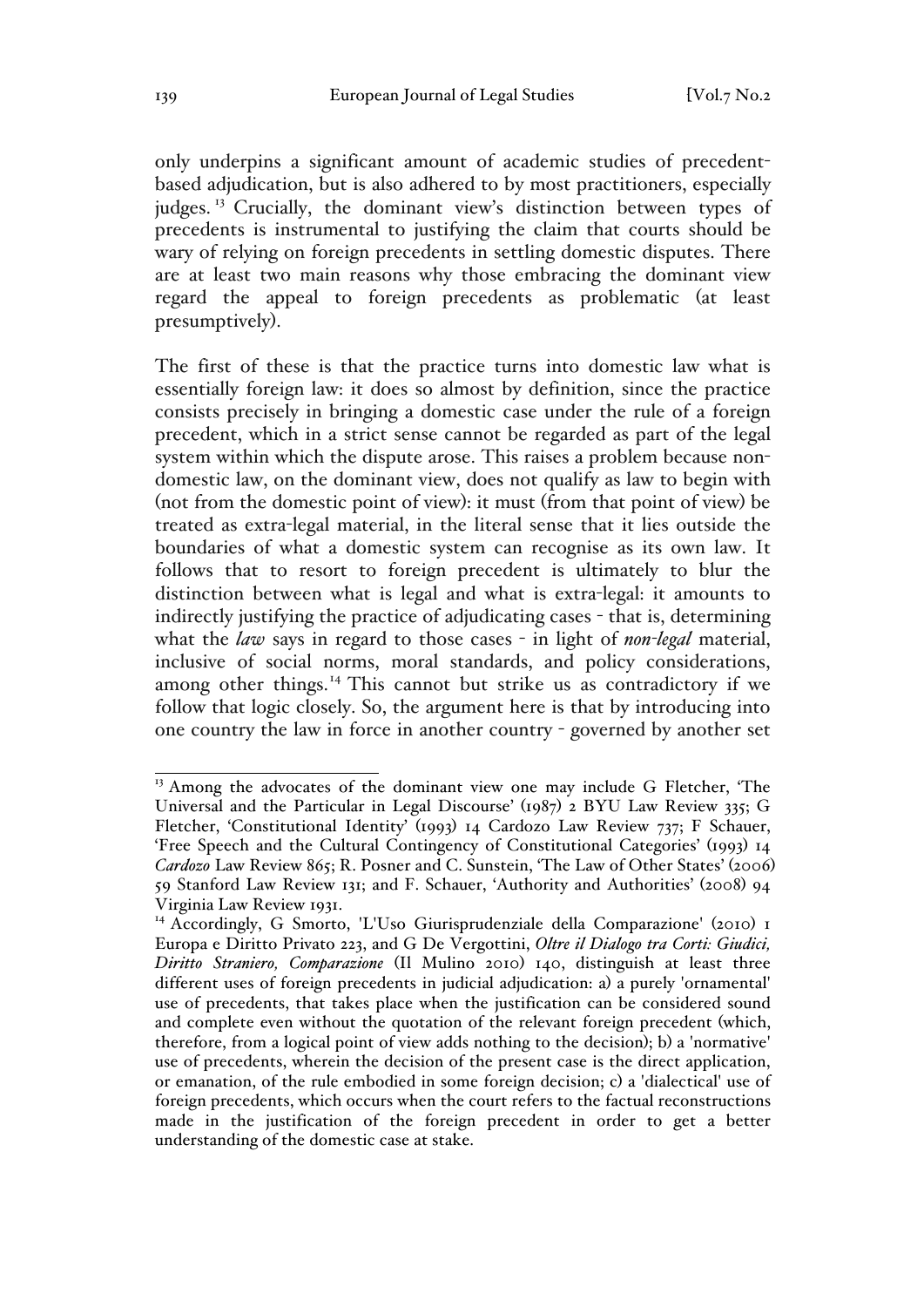only underpins a significant amount of academic studies of precedentbased adjudication, but is also adhered to by most practitioners, especially judges.<sup>13</sup> Crucially, the dominant view's distinction between types of precedents is instrumental to justifying the claim that courts should be wary of relying on foreign precedents in settling domestic disputes. There are at least two main reasons why those embracing the dominant view regard the appeal to foreign precedents as problematic (at least presumptively).

The first of these is that the practice turns into domestic law what is essentially foreign law: it does so almost by definition, since the practice consists precisely in bringing a domestic case under the rule of a foreign precedent, which in a strict sense cannot be regarded as part of the legal system within which the dispute arose. This raises a problem because nondomestic law, on the dominant view, does not qualify as law to begin with (not from the domestic point of view): it must (from that point of view) be treated as extra-legal material, in the literal sense that it lies outside the boundaries of what a domestic system can recognise as its own law. It follows that to resort to foreign precedent is ultimately to blur the distinction between what is legal and what is extra-legal: it amounts to indirectly justifying the practice of adjudicating cases - that is, determining what the *law* says in regard to those cases - in light of *non-legal* material, inclusive of social norms, moral standards, and policy considerations, among other things.<sup>14</sup> This cannot but strike us as contradictory if we follow that logic closely. So, the argument here is that by introducing into one country the law in force in another country - governed by another set

<sup>&</sup>lt;sup>13</sup> Among the advocates of the dominant view one may include G Fletcher, 'The Universal and the Particular in Legal Discourse' (1987) 2 BYU Law Review 335; G Fletcher, 'Constitutional Identity' (1993) 14 Cardozo Law Review 737; F Schauer, 'Free Speech and the Cultural Contingency of Constitutional Categories' (1993) 14 *Cardozo* Law Review 865; R. Posner and C. Sunstein, 'The Law of Other States' (2006) 59 Stanford Law Review 131; and F. Schauer, 'Authority and Authorities' (2008) 94 Virginia Law Review 1931.

<sup>&</sup>lt;sup>14</sup> Accordingly, G Smorto, 'L'Uso Giurisprudenziale della Comparazione' (2010) 1 Europa e Diritto Privato 223, and G De Vergottini, *Oltre il Dialogo tra Corti: Giudici, Diritto Straniero, Comparazione* (Il Mulino 2010) 140, distinguish at least three different uses of foreign precedents in judicial adjudication: a) a purely 'ornamental' use of precedents, that takes place when the justification can be considered sound and complete even without the quotation of the relevant foreign precedent (which, therefore, from a logical point of view adds nothing to the decision); b) a 'normative' use of precedents, wherein the decision of the present case is the direct application, or emanation, of the rule embodied in some foreign decision; c) a 'dialectical' use of foreign precedents, which occurs when the court refers to the factual reconstructions made in the justification of the foreign precedent in order to get a better understanding of the domestic case at stake.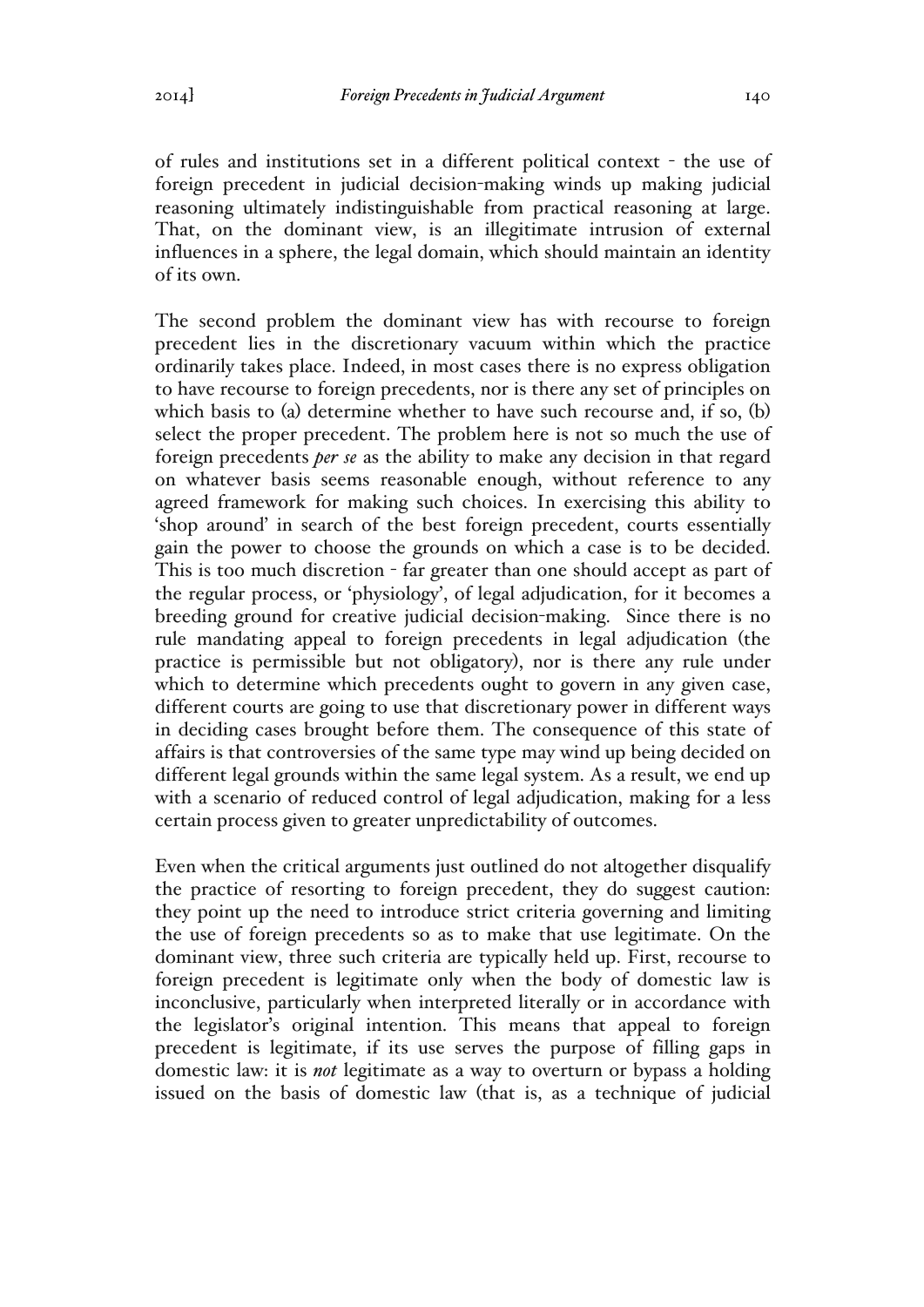of rules and institutions set in a different political context - the use of foreign precedent in judicial decision-making winds up making judicial reasoning ultimately indistinguishable from practical reasoning at large. That, on the dominant view, is an illegitimate intrusion of external influences in a sphere, the legal domain, which should maintain an identity of its own.

The second problem the dominant view has with recourse to foreign precedent lies in the discretionary vacuum within which the practice ordinarily takes place. Indeed, in most cases there is no express obligation to have recourse to foreign precedents, nor is there any set of principles on which basis to (a) determine whether to have such recourse and, if so, (b) select the proper precedent. The problem here is not so much the use of foreign precedents *per se* as the ability to make any decision in that regard on whatever basis seems reasonable enough, without reference to any agreed framework for making such choices. In exercising this ability to 'shop around' in search of the best foreign precedent, courts essentially gain the power to choose the grounds on which a case is to be decided. This is too much discretion - far greater than one should accept as part of the regular process, or 'physiology', of legal adjudication, for it becomes a breeding ground for creative judicial decision-making. Since there is no rule mandating appeal to foreign precedents in legal adjudication (the practice is permissible but not obligatory), nor is there any rule under which to determine which precedents ought to govern in any given case, different courts are going to use that discretionary power in different ways in deciding cases brought before them. The consequence of this state of affairs is that controversies of the same type may wind up being decided on different legal grounds within the same legal system. As a result, we end up with a scenario of reduced control of legal adjudication, making for a less certain process given to greater unpredictability of outcomes.

Even when the critical arguments just outlined do not altogether disqualify the practice of resorting to foreign precedent, they do suggest caution: they point up the need to introduce strict criteria governing and limiting the use of foreign precedents so as to make that use legitimate. On the dominant view, three such criteria are typically held up. First, recourse to foreign precedent is legitimate only when the body of domestic law is inconclusive, particularly when interpreted literally or in accordance with the legislator's original intention. This means that appeal to foreign precedent is legitimate, if its use serves the purpose of filling gaps in domestic law: it is *not* legitimate as a way to overturn or bypass a holding issued on the basis of domestic law (that is, as a technique of judicial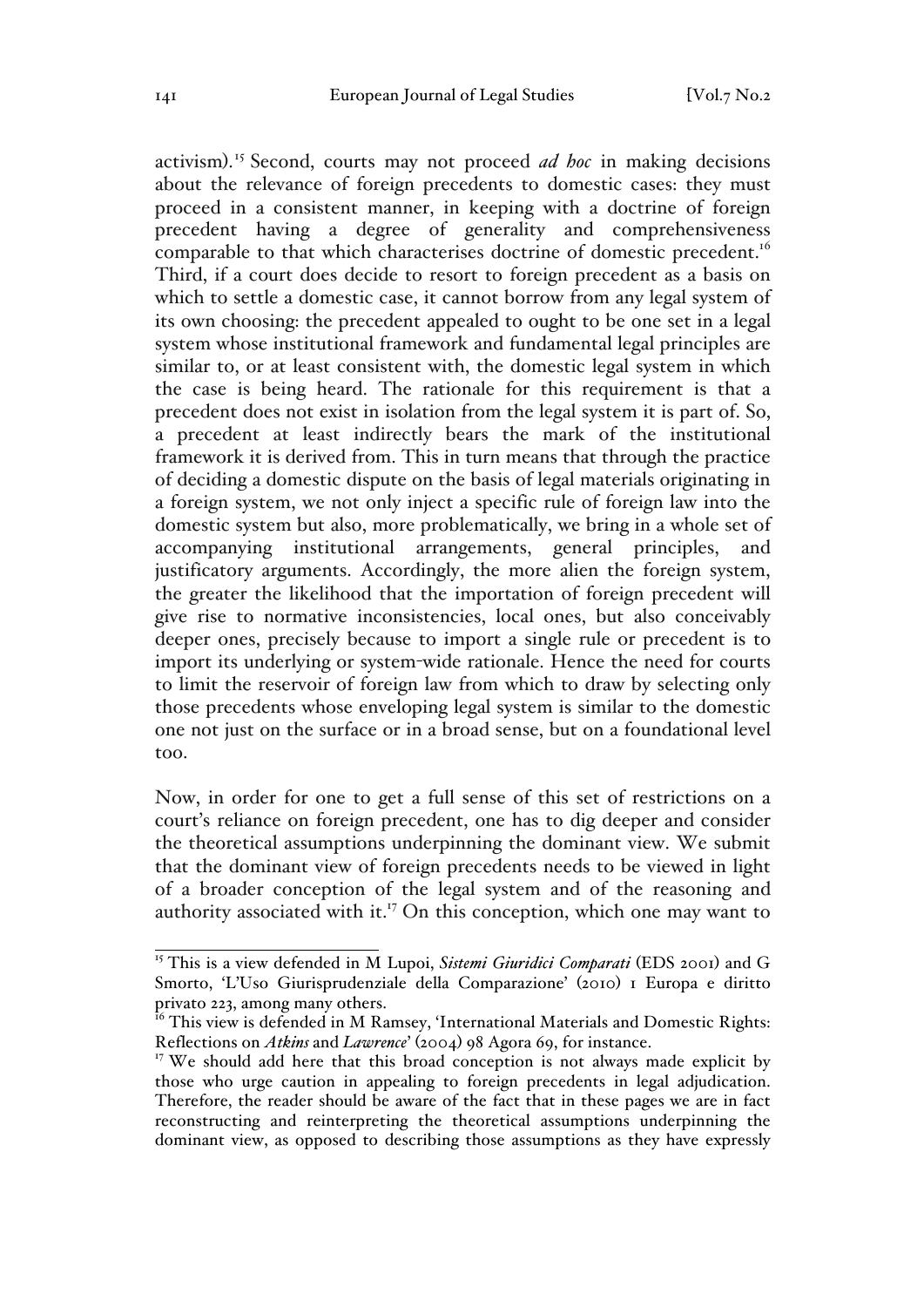activism). <sup>15</sup> Second, courts may not proceed *ad hoc* in making decisions about the relevance of foreign precedents to domestic cases: they must proceed in a consistent manner, in keeping with a doctrine of foreign precedent having a degree of generality and comprehensiveness comparable to that which characterises doctrine of domestic precedent.<sup>16</sup> Third, if a court does decide to resort to foreign precedent as a basis on which to settle a domestic case, it cannot borrow from any legal system of its own choosing: the precedent appealed to ought to be one set in a legal system whose institutional framework and fundamental legal principles are similar to, or at least consistent with, the domestic legal system in which the case is being heard. The rationale for this requirement is that a precedent does not exist in isolation from the legal system it is part of. So, a precedent at least indirectly bears the mark of the institutional framework it is derived from. This in turn means that through the practice of deciding a domestic dispute on the basis of legal materials originating in a foreign system, we not only inject a specific rule of foreign law into the domestic system but also, more problematically, we bring in a whole set of accompanying institutional arrangements, general principles, and justificatory arguments. Accordingly, the more alien the foreign system, the greater the likelihood that the importation of foreign precedent will give rise to normative inconsistencies, local ones, but also conceivably deeper ones, precisely because to import a single rule or precedent is to import its underlying or system-wide rationale. Hence the need for courts to limit the reservoir of foreign law from which to draw by selecting only those precedents whose enveloping legal system is similar to the domestic one not just on the surface or in a broad sense, but on a foundational level too.

Now, in order for one to get a full sense of this set of restrictions on a court's reliance on foreign precedent, one has to dig deeper and consider the theoretical assumptions underpinning the dominant view. We submit that the dominant view of foreign precedents needs to be viewed in light of a broader conception of the legal system and of the reasoning and authority associated with it.<sup>17</sup> On this conception, which one may want to

<sup>&</sup>lt;sup>15</sup> This is a view defended in M Lupoi, *Sistemi Giuridici Comparati* (EDS 2001) and G Smorto, 'L'Uso Giurisprudenziale della Comparazione' (2010) I Europa e diritto privato 223, among many others.

 $^{16}$  This view is defended in M Ramsey, 'International Materials and Domestic Rights: Reflections on *Atkins* and *Lawrence*' (2004) 98 Agora 69, for instance.

 $17$  We should add here that this broad conception is not always made explicit by those who urge caution in appealing to foreign precedents in legal adjudication. Therefore, the reader should be aware of the fact that in these pages we are in fact reconstructing and reinterpreting the theoretical assumptions underpinning the dominant view, as opposed to describing those assumptions as they have expressly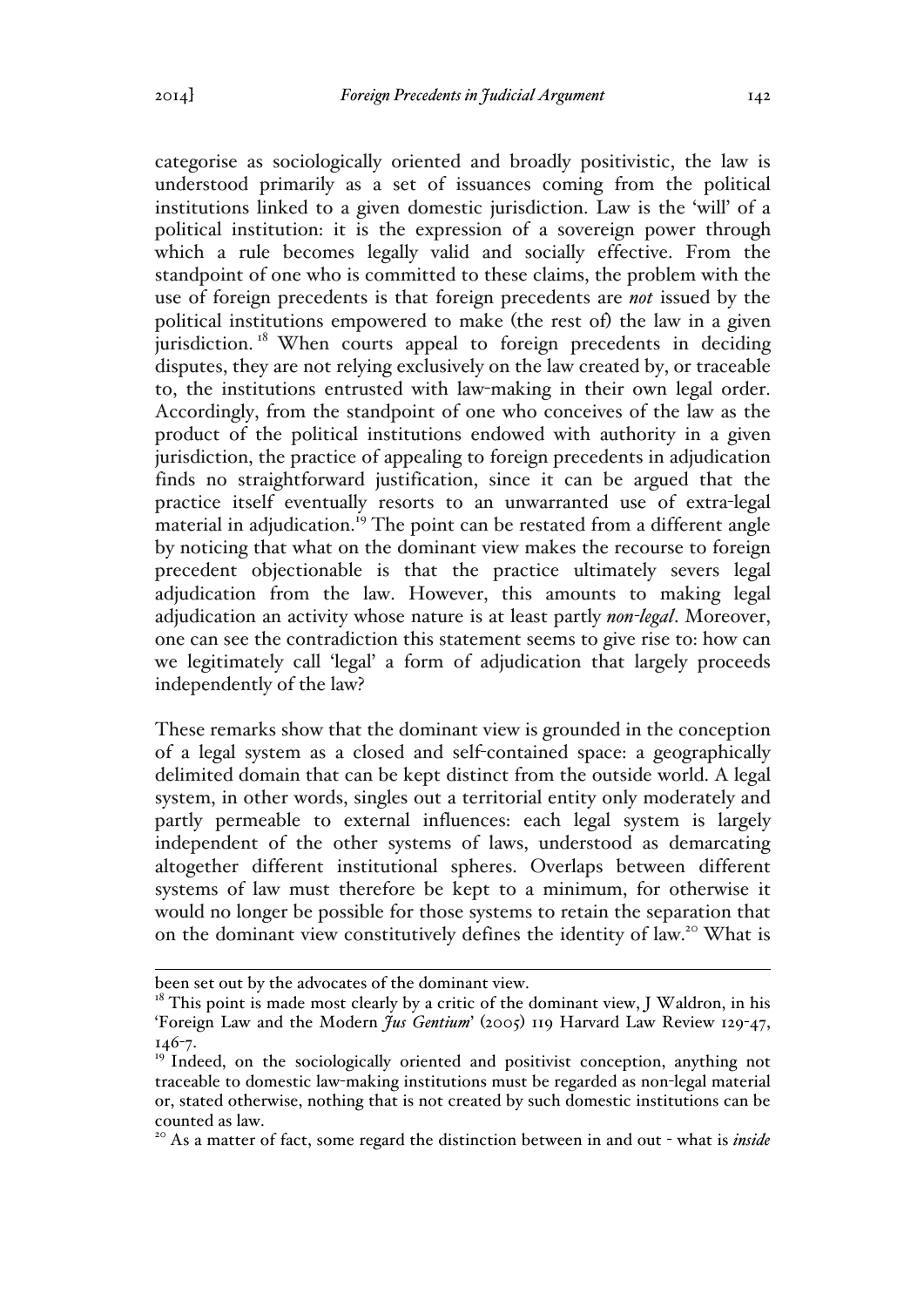categorise as sociologically oriented and broadly positivistic, the law is understood primarily as a set of issuances coming from the political institutions linked to a given domestic jurisdiction. Law is the 'will' of a political institution: it is the expression of a sovereign power through which a rule becomes legally valid and socially effective. From the standpoint of one who is committed to these claims, the problem with the use of foreign precedents is that foreign precedents are *not* issued by the political institutions empowered to make (the rest of) the law in a given jurisdiction.<sup>18</sup> When courts appeal to foreign precedents in deciding disputes, they are not relying exclusively on the law created by, or traceable to, the institutions entrusted with law-making in their own legal order. Accordingly, from the standpoint of one who conceives of the law as the product of the political institutions endowed with authority in a given jurisdiction, the practice of appealing to foreign precedents in adjudication finds no straightforward justification, since it can be argued that the practice itself eventually resorts to an unwarranted use of extra-legal material in adjudication.<sup>19</sup> The point can be restated from a different angle by noticing that what on the dominant view makes the recourse to foreign precedent objectionable is that the practice ultimately severs legal adjudication from the law. However, this amounts to making legal adjudication an activity whose nature is at least partly *non-legal*. Moreover, one can see the contradiction this statement seems to give rise to: how can we legitimately call 'legal' a form of adjudication that largely proceeds independently of the law?

These remarks show that the dominant view is grounded in the conception of a legal system as a closed and self-contained space: a geographically delimited domain that can be kept distinct from the outside world. A legal system, in other words, singles out a territorial entity only moderately and partly permeable to external influences: each legal system is largely independent of the other systems of laws, understood as demarcating altogether different institutional spheres. Overlaps between different systems of law must therefore be kept to a minimum, for otherwise it would no longer be possible for those systems to retain the separation that on the dominant view constitutively defines the identity of law.<sup>20</sup> What is

 $\overline{a}$ been set out by the advocates of the dominant view.

 $18$ <sup>18</sup> This point is made most clearly by a critic of the dominant view, J Waldron, in his 'Foreign Law and the Modern *Jus Gentium*' (2005) 119 Harvard Law Review 129-47, 146-7.

<sup>&</sup>lt;sup>19</sup> Indeed, on the sociologically oriented and positivist conception, anything not traceable to domestic law-making institutions must be regarded as non-legal material or, stated otherwise, nothing that is not created by such domestic institutions can be counted as law.

<sup>&</sup>lt;sup>20</sup> As a matter of fact, some regard the distinction between in and out - what is *inside*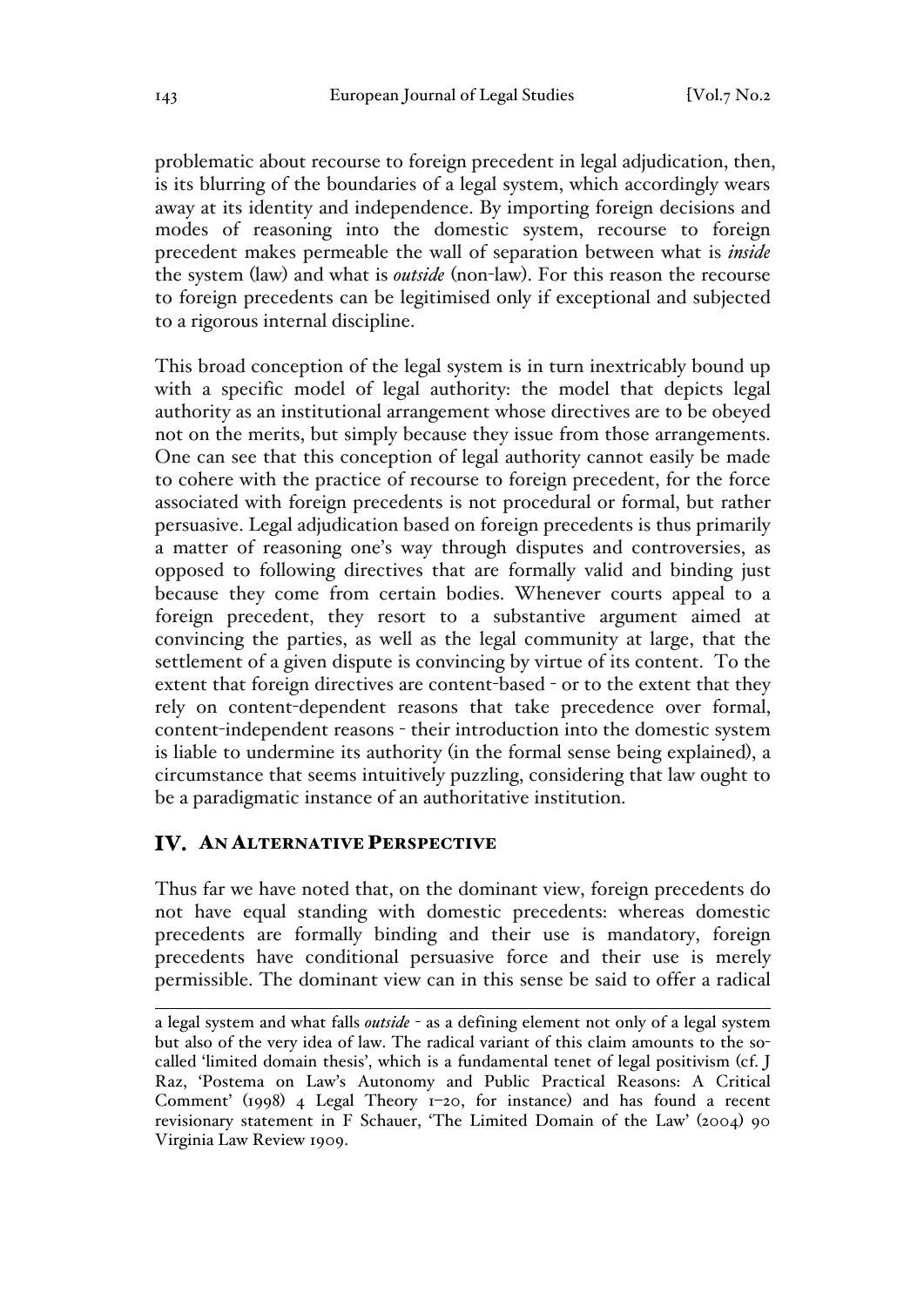problematic about recourse to foreign precedent in legal adjudication, then, is its blurring of the boundaries of a legal system, which accordingly wears away at its identity and independence. By importing foreign decisions and modes of reasoning into the domestic system, recourse to foreign precedent makes permeable the wall of separation between what is *inside*  the system (law) and what is *outside* (non-law). For this reason the recourse to foreign precedents can be legitimised only if exceptional and subjected to a rigorous internal discipline.

This broad conception of the legal system is in turn inextricably bound up with a specific model of legal authority: the model that depicts legal authority as an institutional arrangement whose directives are to be obeyed not on the merits, but simply because they issue from those arrangements. One can see that this conception of legal authority cannot easily be made to cohere with the practice of recourse to foreign precedent, for the force associated with foreign precedents is not procedural or formal, but rather persuasive. Legal adjudication based on foreign precedents is thus primarily a matter of reasoning one's way through disputes and controversies, as opposed to following directives that are formally valid and binding just because they come from certain bodies. Whenever courts appeal to a foreign precedent, they resort to a substantive argument aimed at convincing the parties, as well as the legal community at large, that the settlement of a given dispute is convincing by virtue of its content. To the extent that foreign directives are content-based - or to the extent that they rely on content-dependent reasons that take precedence over formal, content-independent reasons - their introduction into the domestic system is liable to undermine its authority (in the formal sense being explained), a circumstance that seems intuitively puzzling, considering that law ought to be a paradigmatic instance of an authoritative institution.

### IV. AN ALTERNATIVE PERSPECTIVE

Thus far we have noted that, on the dominant view, foreign precedents do not have equal standing with domestic precedents: whereas domestic precedents are formally binding and their use is mandatory, foreign precedents have conditional persuasive force and their use is merely permissible. The dominant view can in this sense be said to offer a radical

 $\overline{a}$ a legal system and what falls *outside* - as a defining element not only of a legal system but also of the very idea of law. The radical variant of this claim amounts to the socalled 'limited domain thesis', which is a fundamental tenet of legal positivism (cf. J Raz, 'Postema on Law's Autonomy and Public Practical Reasons: A Critical Comment' (1998) 4 Legal Theory  $1-20$ , for instance) and has found a recent revisionary statement in F Schauer, 'The Limited Domain of the Law' (2004) 90 Virginia Law Review 1909.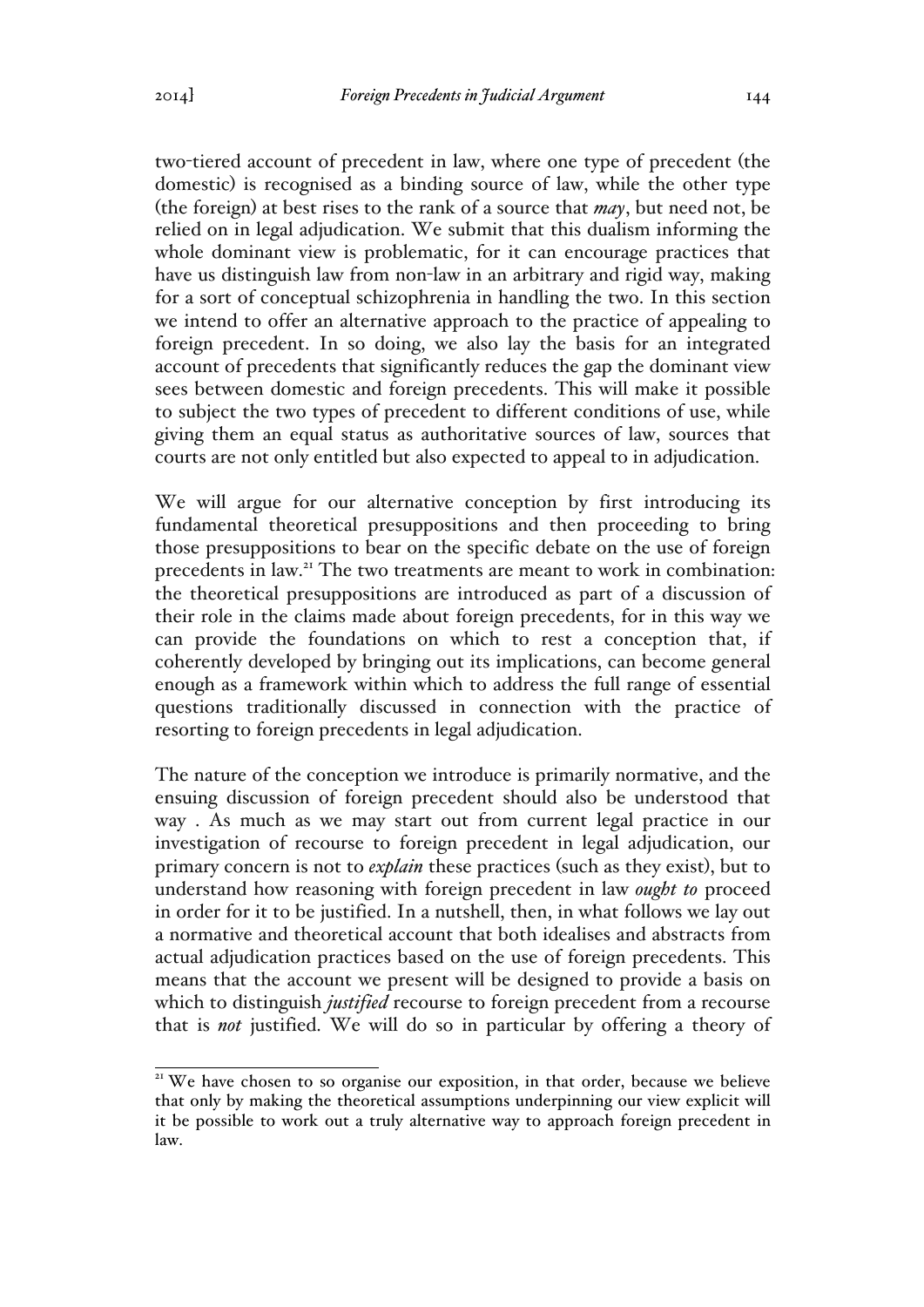two-tiered account of precedent in law, where one type of precedent (the domestic) is recognised as a binding source of law, while the other type (the foreign) at best rises to the rank of a source that *may*, but need not, be relied on in legal adjudication. We submit that this dualism informing the whole dominant view is problematic, for it can encourage practices that have us distinguish law from non-law in an arbitrary and rigid way, making for a sort of conceptual schizophrenia in handling the two. In this section we intend to offer an alternative approach to the practice of appealing to foreign precedent. In so doing, we also lay the basis for an integrated account of precedents that significantly reduces the gap the dominant view sees between domestic and foreign precedents. This will make it possible to subject the two types of precedent to different conditions of use, while giving them an equal status as authoritative sources of law, sources that courts are not only entitled but also expected to appeal to in adjudication.

We will argue for our alternative conception by first introducing its fundamental theoretical presuppositions and then proceeding to bring those presuppositions to bear on the specific debate on the use of foreign precedents in law.<sup>21</sup> The two treatments are meant to work in combination: the theoretical presuppositions are introduced as part of a discussion of their role in the claims made about foreign precedents, for in this way we can provide the foundations on which to rest a conception that, if coherently developed by bringing out its implications, can become general enough as a framework within which to address the full range of essential questions traditionally discussed in connection with the practice of resorting to foreign precedents in legal adjudication.

The nature of the conception we introduce is primarily normative, and the ensuing discussion of foreign precedent should also be understood that way . As much as we may start out from current legal practice in our investigation of recourse to foreign precedent in legal adjudication, our primary concern is not to *explain* these practices (such as they exist), but to understand how reasoning with foreign precedent in law *ought to* proceed in order for it to be justified. In a nutshell, then, in what follows we lay out a normative and theoretical account that both idealises and abstracts from actual adjudication practices based on the use of foreign precedents. This means that the account we present will be designed to provide a basis on which to distinguish *justified* recourse to foreign precedent from a recourse that is *not* justified. We will do so in particular by offering a theory of

<sup>&</sup>lt;sup>21</sup> We have chosen to so organise our exposition, in that order, because we believe that only by making the theoretical assumptions underpinning our view explicit will it be possible to work out a truly alternative way to approach foreign precedent in law.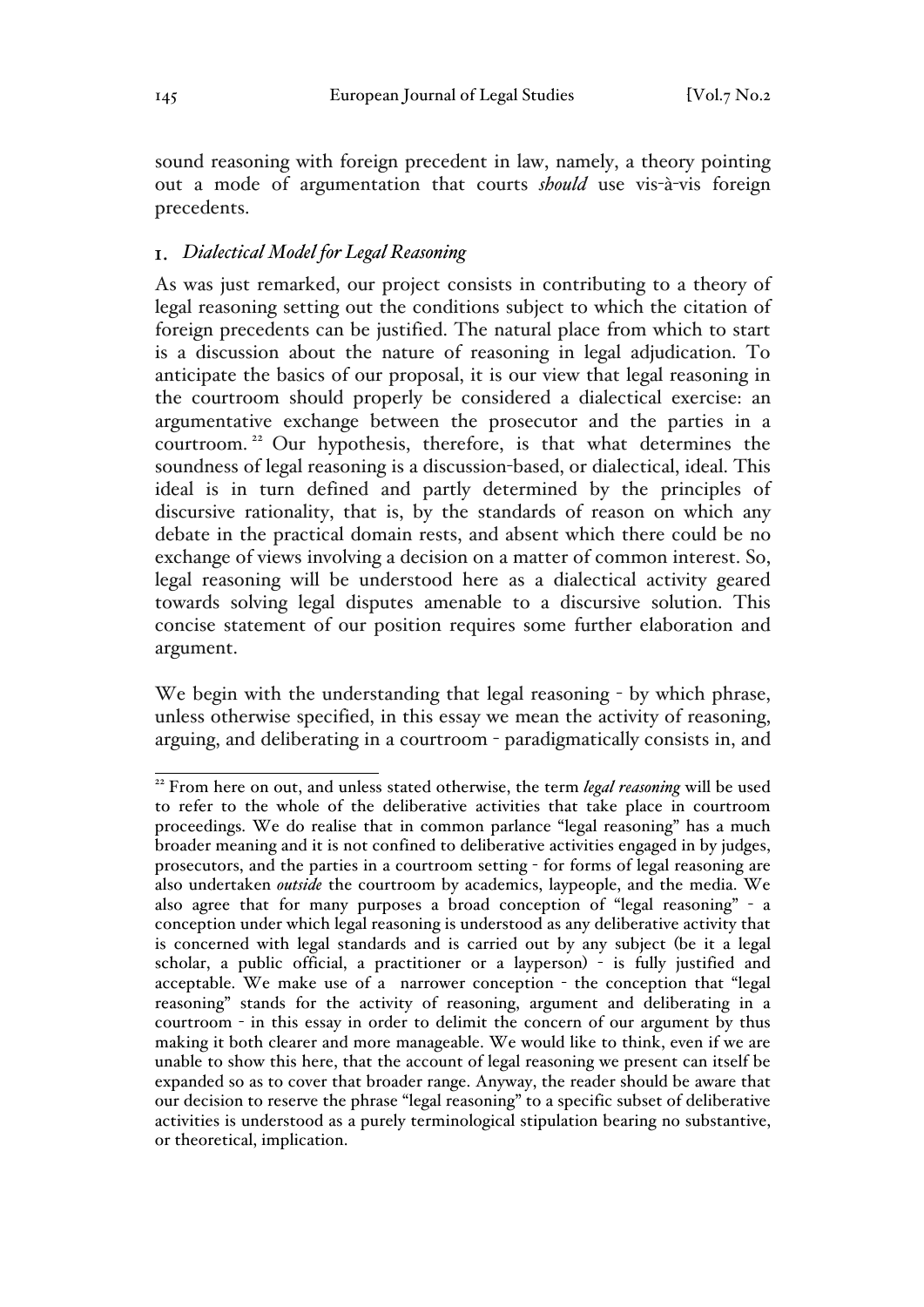sound reasoning with foreign precedent in law, namely, a theory pointing out a mode of argumentation that courts *should* use vis-à-vis foreign precedents.

# *Dialectical Model for Legal Reasoning*

As was just remarked, our project consists in contributing to a theory of legal reasoning setting out the conditions subject to which the citation of foreign precedents can be justified. The natural place from which to start is a discussion about the nature of reasoning in legal adjudication. To anticipate the basics of our proposal, it is our view that legal reasoning in the courtroom should properly be considered a dialectical exercise: an argumentative exchange between the prosecutor and the parties in a courtroom. <sup>22</sup> Our hypothesis, therefore, is that what determines the soundness of legal reasoning is a discussion-based, or dialectical, ideal. This ideal is in turn defined and partly determined by the principles of discursive rationality, that is, by the standards of reason on which any debate in the practical domain rests, and absent which there could be no exchange of views involving a decision on a matter of common interest. So, legal reasoning will be understood here as a dialectical activity geared towards solving legal disputes amenable to a discursive solution. This concise statement of our position requires some further elaboration and argument.

We begin with the understanding that legal reasoning - by which phrase, unless otherwise specified, in this essay we mean the activity of reasoning, arguing, and deliberating in a courtroom - paradigmatically consists in, and

<sup>&</sup>lt;sup>22</sup> From here on out, and unless stated otherwise, the term *legal reasoning* will be used to refer to the whole of the deliberative activities that take place in courtroom proceedings. We do realise that in common parlance "legal reasoning" has a much broader meaning and it is not confined to deliberative activities engaged in by judges, prosecutors, and the parties in a courtroom setting - for forms of legal reasoning are also undertaken *outside* the courtroom by academics, laypeople, and the media. We also agree that for many purposes a broad conception of "legal reasoning" - a conception under which legal reasoning is understood as any deliberative activity that is concerned with legal standards and is carried out by any subject (be it a legal scholar, a public official, a practitioner or a layperson) - is fully justified and acceptable. We make use of a narrower conception - the conception that "legal reasoning" stands for the activity of reasoning, argument and deliberating in a courtroom - in this essay in order to delimit the concern of our argument by thus making it both clearer and more manageable. We would like to think, even if we are unable to show this here, that the account of legal reasoning we present can itself be expanded so as to cover that broader range. Anyway, the reader should be aware that our decision to reserve the phrase "legal reasoning" to a specific subset of deliberative activities is understood as a purely terminological stipulation bearing no substantive, or theoretical, implication.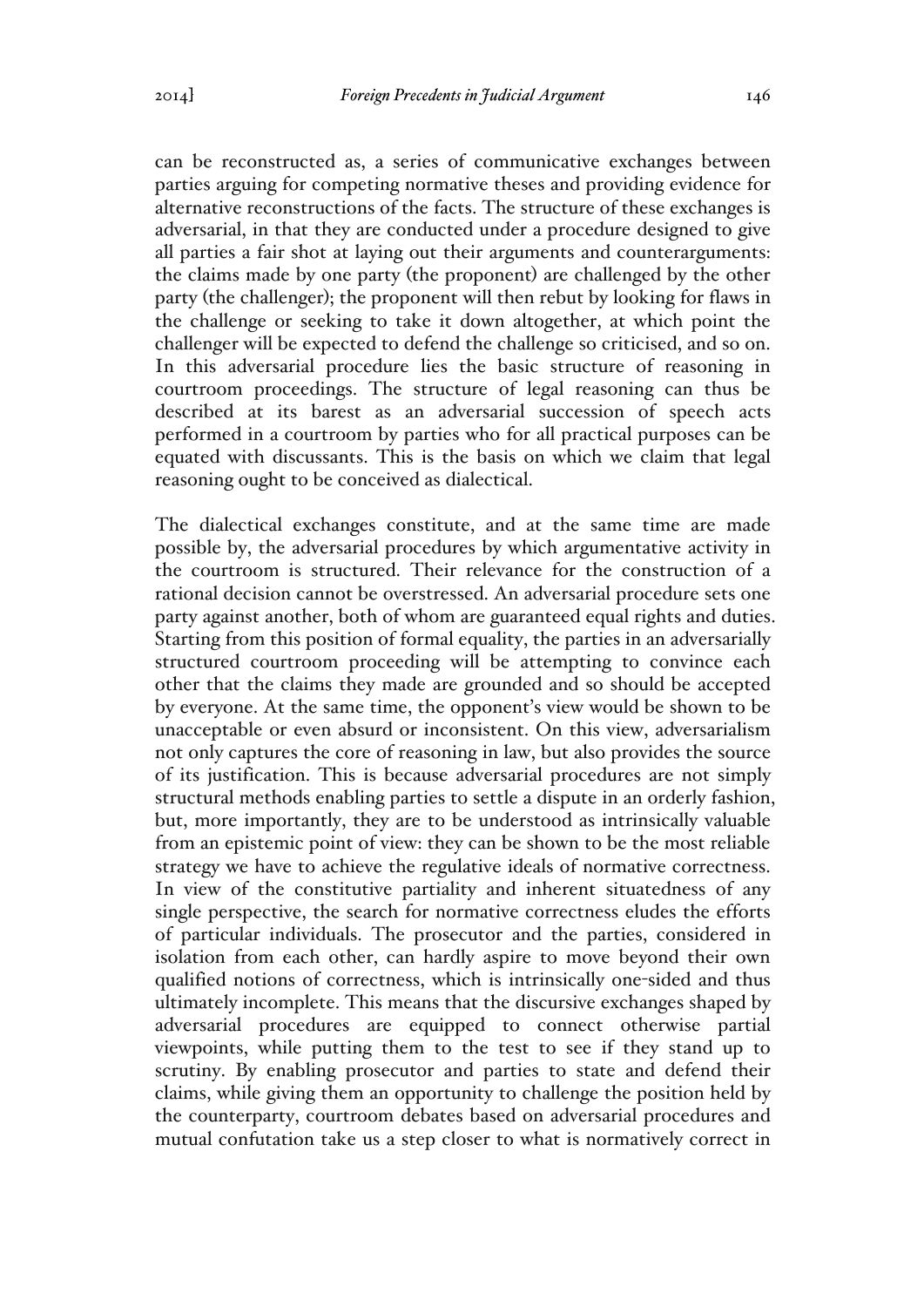can be reconstructed as, a series of communicative exchanges between parties arguing for competing normative theses and providing evidence for alternative reconstructions of the facts. The structure of these exchanges is adversarial, in that they are conducted under a procedure designed to give all parties a fair shot at laying out their arguments and counterarguments: the claims made by one party (the proponent) are challenged by the other party (the challenger); the proponent will then rebut by looking for flaws in the challenge or seeking to take it down altogether, at which point the challenger will be expected to defend the challenge so criticised, and so on. In this adversarial procedure lies the basic structure of reasoning in courtroom proceedings. The structure of legal reasoning can thus be described at its barest as an adversarial succession of speech acts performed in a courtroom by parties who for all practical purposes can be equated with discussants. This is the basis on which we claim that legal reasoning ought to be conceived as dialectical.

The dialectical exchanges constitute, and at the same time are made possible by, the adversarial procedures by which argumentative activity in the courtroom is structured. Their relevance for the construction of a rational decision cannot be overstressed. An adversarial procedure sets one party against another, both of whom are guaranteed equal rights and duties. Starting from this position of formal equality, the parties in an adversarially structured courtroom proceeding will be attempting to convince each other that the claims they made are grounded and so should be accepted by everyone. At the same time, the opponent's view would be shown to be unacceptable or even absurd or inconsistent. On this view, adversarialism not only captures the core of reasoning in law, but also provides the source of its justification. This is because adversarial procedures are not simply structural methods enabling parties to settle a dispute in an orderly fashion, but, more importantly, they are to be understood as intrinsically valuable from an epistemic point of view: they can be shown to be the most reliable strategy we have to achieve the regulative ideals of normative correctness. In view of the constitutive partiality and inherent situatedness of any single perspective, the search for normative correctness eludes the efforts of particular individuals. The prosecutor and the parties, considered in isolation from each other, can hardly aspire to move beyond their own qualified notions of correctness, which is intrinsically one-sided and thus ultimately incomplete. This means that the discursive exchanges shaped by adversarial procedures are equipped to connect otherwise partial viewpoints, while putting them to the test to see if they stand up to scrutiny. By enabling prosecutor and parties to state and defend their claims, while giving them an opportunity to challenge the position held by the counterparty, courtroom debates based on adversarial procedures and mutual confutation take us a step closer to what is normatively correct in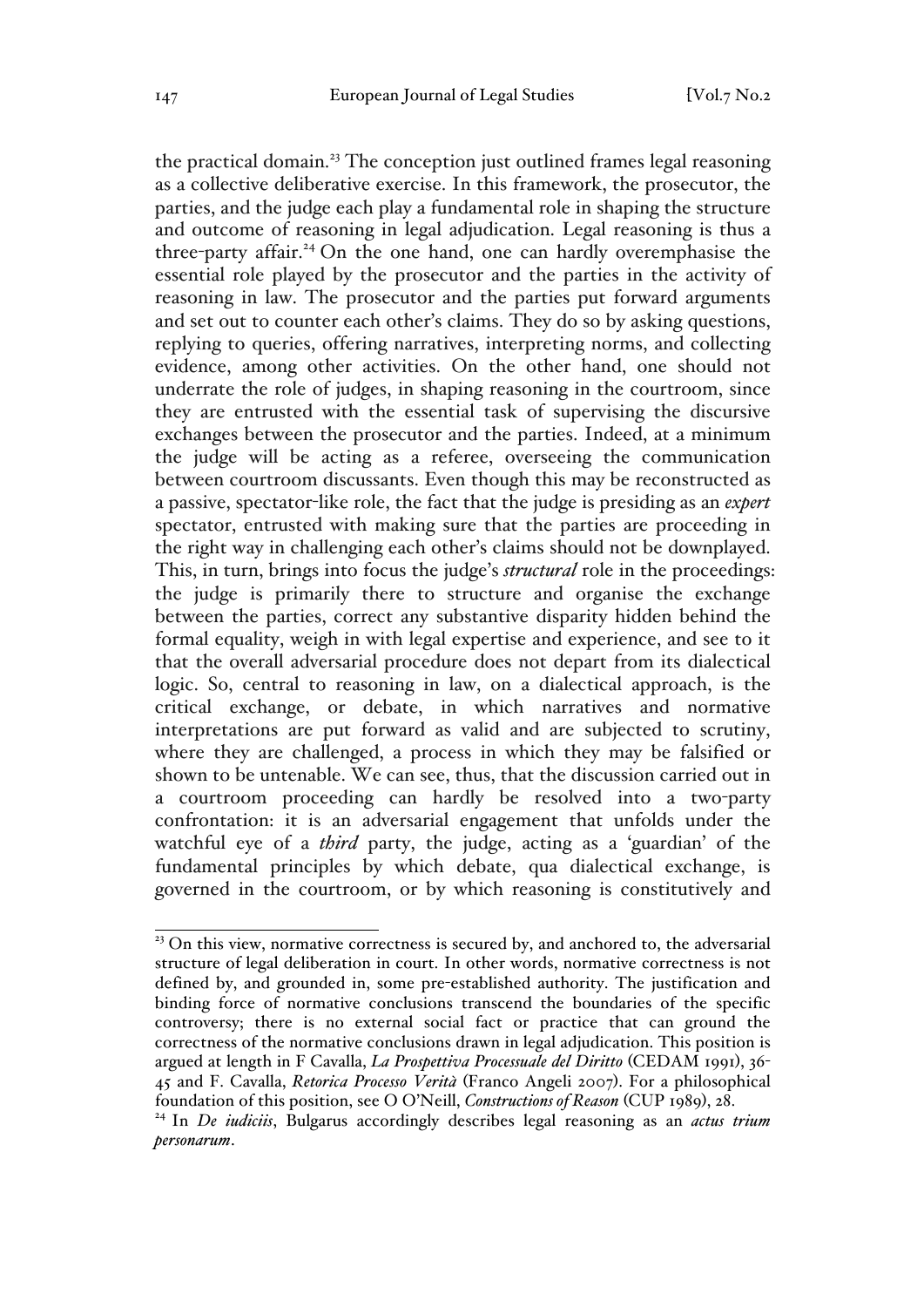the practical domain.<sup>23</sup> The conception just outlined frames legal reasoning as a collective deliberative exercise. In this framework, the prosecutor, the parties, and the judge each play a fundamental role in shaping the structure and outcome of reasoning in legal adjudication. Legal reasoning is thus a three-party affair.<sup>24</sup> On the one hand, one can hardly overemphasise the essential role played by the prosecutor and the parties in the activity of reasoning in law. The prosecutor and the parties put forward arguments and set out to counter each other's claims. They do so by asking questions, replying to queries, offering narratives, interpreting norms, and collecting evidence, among other activities. On the other hand, one should not underrate the role of judges, in shaping reasoning in the courtroom, since they are entrusted with the essential task of supervising the discursive exchanges between the prosecutor and the parties. Indeed, at a minimum the judge will be acting as a referee, overseeing the communication between courtroom discussants. Even though this may be reconstructed as a passive, spectator-like role, the fact that the judge is presiding as an *expert*  spectator, entrusted with making sure that the parties are proceeding in the right way in challenging each other's claims should not be downplayed. This, in turn, brings into focus the judge's *structural* role in the proceedings: the judge is primarily there to structure and organise the exchange between the parties, correct any substantive disparity hidden behind the formal equality, weigh in with legal expertise and experience, and see to it that the overall adversarial procedure does not depart from its dialectical logic. So, central to reasoning in law, on a dialectical approach, is the critical exchange, or debate, in which narratives and normative interpretations are put forward as valid and are subjected to scrutiny, where they are challenged, a process in which they may be falsified or shown to be untenable. We can see, thus, that the discussion carried out in a courtroom proceeding can hardly be resolved into a two-party confrontation: it is an adversarial engagement that unfolds under the watchful eye of a *third* party, the judge, acting as a 'guardian' of the fundamental principles by which debate, qua dialectical exchange, is governed in the courtroom, or by which reasoning is constitutively and

<sup>&</sup>lt;sup>23</sup> On this view, normative correctness is secured by, and anchored to, the adversarial structure of legal deliberation in court. In other words, normative correctness is not defined by, and grounded in, some pre-established authority. The justification and binding force of normative conclusions transcend the boundaries of the specific controversy; there is no external social fact or practice that can ground the correctness of the normative conclusions drawn in legal adjudication. This position is argued at length in F Cavalla, *La Prospettiva Processuale del Diritto* (CEDAM 1991), 36- 45 and F. Cavalla, *Retorica Processo Verità* (Franco Angeli 2007). For a philosophical foundation of this position, see O O'Neill, *Constructions of Reason* (CUP 1989), 28.

<sup>24</sup> In *De iudiciis*, Bulgarus accordingly describes legal reasoning as an *actus trium personarum*.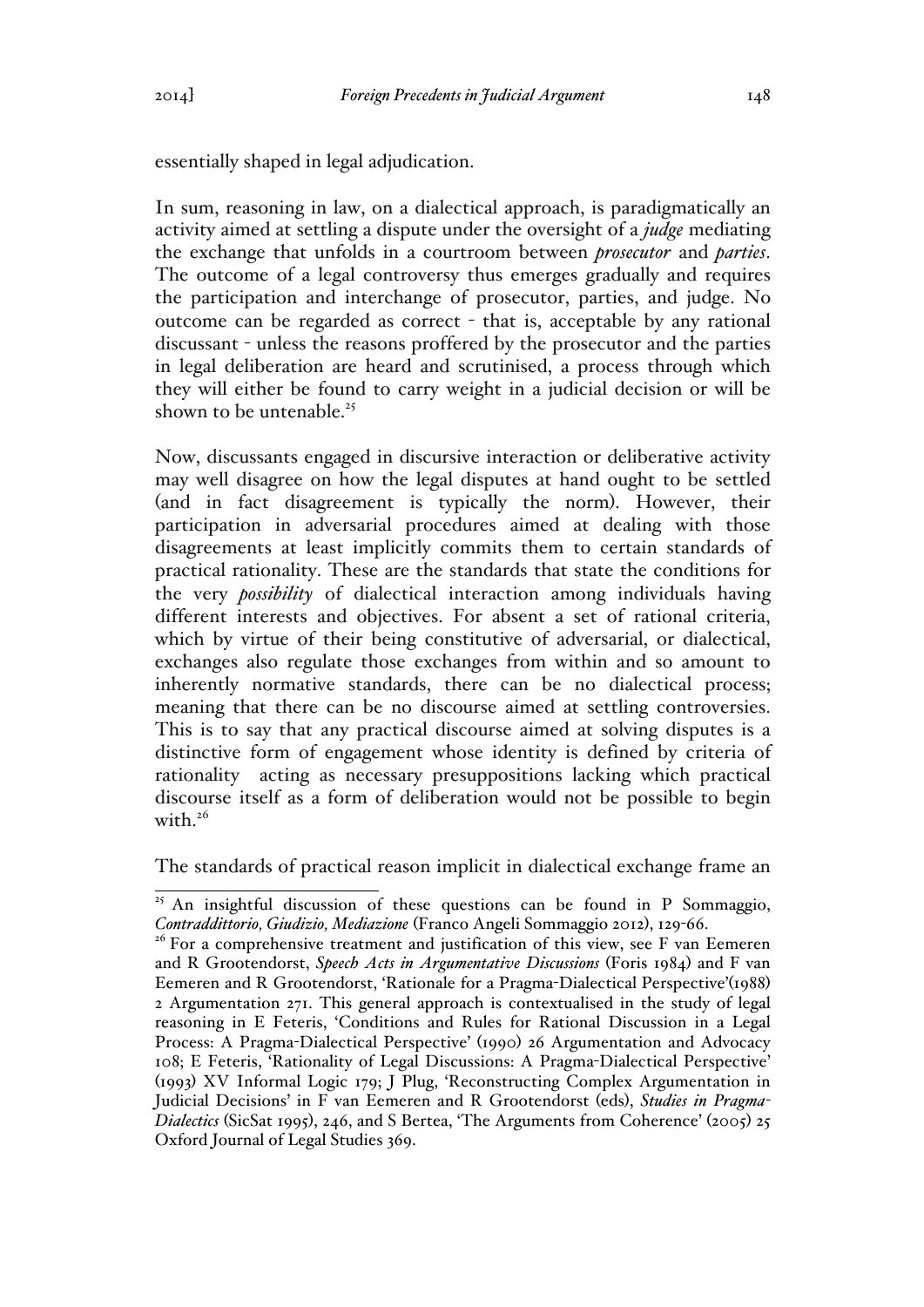essentially shaped in legal adjudication.

In sum, reasoning in law, on a dialectical approach, is paradigmatically an activity aimed at settling a dispute under the oversight of a *judge* mediating the exchange that unfolds in a courtroom between *prosecutor* and *parties*. The outcome of a legal controversy thus emerges gradually and requires the participation and interchange of prosecutor, parties, and judge. No outcome can be regarded as correct - that is, acceptable by any rational discussant - unless the reasons proffered by the prosecutor and the parties in legal deliberation are heard and scrutinised, a process through which they will either be found to carry weight in a judicial decision or will be shown to be untenable.<sup>25</sup>

Now, discussants engaged in discursive interaction or deliberative activity may well disagree on how the legal disputes at hand ought to be settled (and in fact disagreement is typically the norm). However, their participation in adversarial procedures aimed at dealing with those disagreements at least implicitly commits them to certain standards of practical rationality. These are the standards that state the conditions for the very *possibility* of dialectical interaction among individuals having different interests and objectives. For absent a set of rational criteria, which by virtue of their being constitutive of adversarial, or dialectical, exchanges also regulate those exchanges from within and so amount to inherently normative standards, there can be no dialectical process; meaning that there can be no discourse aimed at settling controversies. This is to say that any practical discourse aimed at solving disputes is a distinctive form of engagement whose identity is defined by criteria of rationality acting as necessary presuppositions lacking which practical discourse itself as a form of deliberation would not be possible to begin with  $26$ 

The standards of practical reason implicit in dialectical exchange frame an

<sup>&</sup>lt;sup>25</sup> An insightful discussion of these questions can be found in P Sommaggio, *Contraddittorio, Giudizio, Mediazione* (Franco Angeli Sommaggio 2012), 129-66.

<sup>&</sup>lt;sup>26</sup> For a comprehensive treatment and justification of this view, see F van Eemeren and R Grootendorst, *Speech Acts in Argumentative Discussions* (Foris 1984) and F van Eemeren and R Grootendorst, 'Rationale for a Pragma-Dialectical Perspective'(1988) 2 Argumentation 271. This general approach is contextualised in the study of legal reasoning in E Feteris, 'Conditions and Rules for Rational Discussion in a Legal Process: A Pragma-Dialectical Perspective' (1990) 26 Argumentation and Advocacy 108; E Feteris, 'Rationality of Legal Discussions: A Pragma-Dialectical Perspective' (1993) XV Informal Logic 179; J Plug, 'Reconstructing Complex Argumentation in Judicial Decisions' in F van Eemeren and R Grootendorst (eds), *Studies in Pragma-Dialectics* (SicSat 1995), 246, and S Bertea, 'The Arguments from Coherence' (2005) 25 Oxford Journal of Legal Studies 369.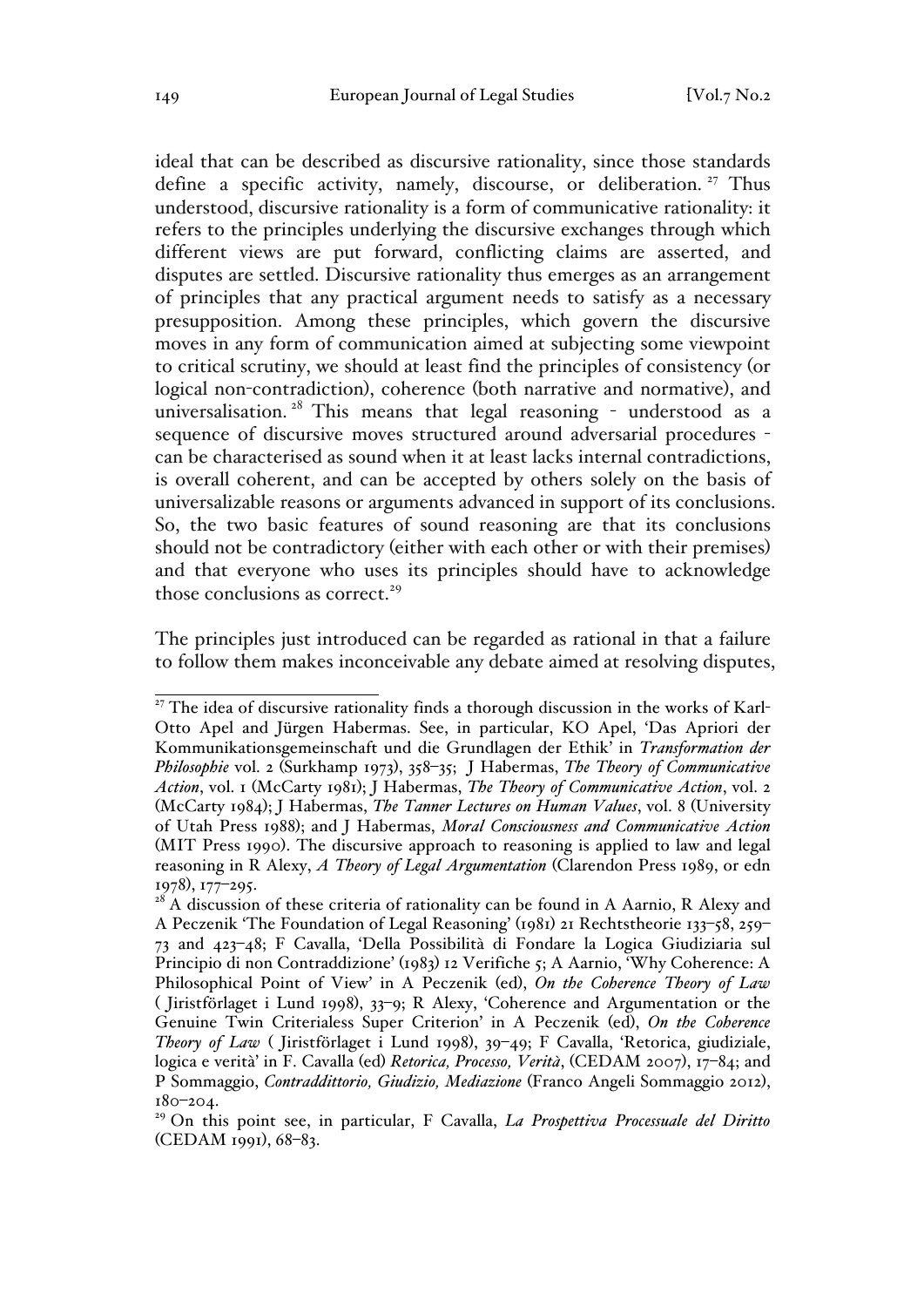ideal that can be described as discursive rationality, since those standards define a specific activity, namely, discourse, or deliberation.<sup>27</sup> Thus understood, discursive rationality is a form of communicative rationality: it refers to the principles underlying the discursive exchanges through which different views are put forward, conflicting claims are asserted, and disputes are settled. Discursive rationality thus emerges as an arrangement of principles that any practical argument needs to satisfy as a necessary presupposition. Among these principles, which govern the discursive moves in any form of communication aimed at subjecting some viewpoint to critical scrutiny, we should at least find the principles of consistency (or logical non-contradiction), coherence (both narrative and normative), and universalisation.<sup>28</sup> This means that legal reasoning - understood as a sequence of discursive moves structured around adversarial procedures can be characterised as sound when it at least lacks internal contradictions, is overall coherent, and can be accepted by others solely on the basis of universalizable reasons or arguments advanced in support of its conclusions. So, the two basic features of sound reasoning are that its conclusions should not be contradictory (either with each other or with their premises) and that everyone who uses its principles should have to acknowledge those conclusions as correct. $29$ 

The principles just introduced can be regarded as rational in that a failure to follow them makes inconceivable any debate aimed at resolving disputes,

<sup>&</sup>lt;sup>27</sup> The idea of discursive rationality finds a thorough discussion in the works of Karl-Otto Apel and Jürgen Habermas. See, in particular, KO Apel, 'Das Apriori der Kommunikationsgemeinschaft und die Grundlagen der Ethik' in *Transformation der Philosophie* vol. 2 (Surkhamp 1973), 358–35; J Habermas, *The Theory of Communicative Action*, vol. 1 (McCarty 1981); J Habermas, *The Theory of Communicative Action*, vol. 2 (McCarty 1984); J Habermas, *The Tanner Lectures on Human Values*, vol. 8 (University of Utah Press 1988); and J Habermas, *Moral Consciousness and Communicative Action* (MIT Press 1990). The discursive approach to reasoning is applied to law and legal reasoning in R Alexy, *A Theory of Legal Argumentation* (Clarendon Press 1989, or edn 1978), 177–295.

 $2^8$  A discussion of these criteria of rationality can be found in A Aarnio, R Alexy and A Peczenik 'The Foundation of Legal Reasoning' (1981) 21 Rechtstheorie 133–58, 259– 73 and 423–48; F Cavalla, 'Della Possibilità di Fondare la Logica Giudiziaria sul Principio di non Contraddizione' (1983) 12 Verifiche 5; A Aarnio, 'Why Coherence: A Philosophical Point of View' in A Peczenik (ed), *On the Coherence Theory of Law* ( Jiristförlaget i Lund 1998), 33–9; R Alexy, 'Coherence and Argumentation or the Genuine Twin Criterialess Super Criterion' in A Peczenik (ed), *On the Coherence Theory of Law* ( Jiristförlaget i Lund 1998), 39–49; F Cavalla, 'Retorica, giudiziale, logica e verità' in F. Cavalla (ed) *Retorica, Processo, Verità*, (CEDAM 2007), 17–84; and P Sommaggio, *Contraddittorio, Giudizio, Mediazione* (Franco Angeli Sommaggio 2012), 180–204.

<sup>29</sup> On this point see, in particular, F Cavalla, *La Prospettiva Processuale del Diritto* (CEDAM 1991), 68–83.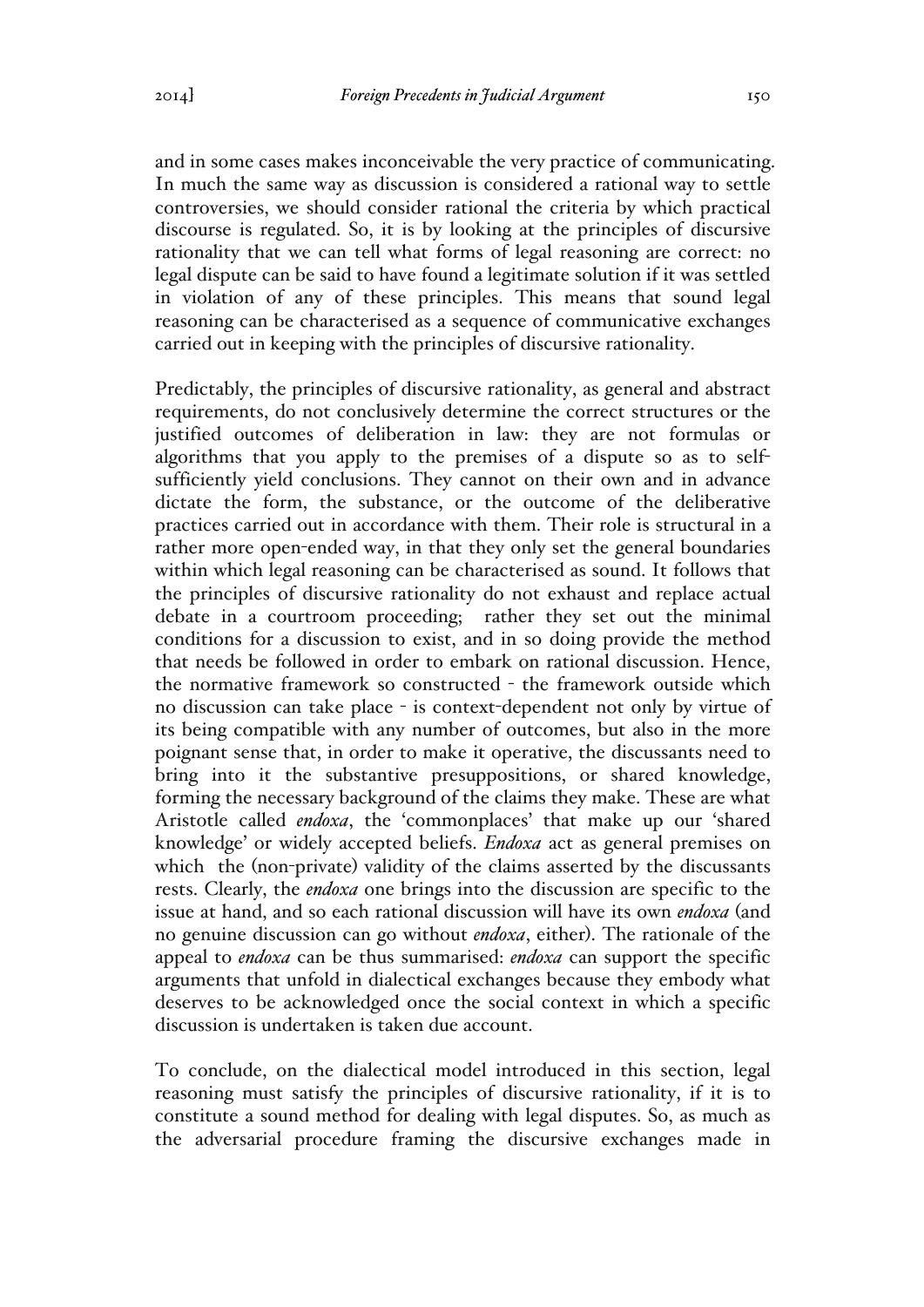and in some cases makes inconceivable the very practice of communicating. In much the same way as discussion is considered a rational way to settle controversies, we should consider rational the criteria by which practical discourse is regulated. So, it is by looking at the principles of discursive rationality that we can tell what forms of legal reasoning are correct: no legal dispute can be said to have found a legitimate solution if it was settled in violation of any of these principles. This means that sound legal reasoning can be characterised as a sequence of communicative exchanges carried out in keeping with the principles of discursive rationality.

Predictably, the principles of discursive rationality, as general and abstract requirements, do not conclusively determine the correct structures or the justified outcomes of deliberation in law: they are not formulas or algorithms that you apply to the premises of a dispute so as to selfsufficiently yield conclusions. They cannot on their own and in advance dictate the form, the substance, or the outcome of the deliberative practices carried out in accordance with them. Their role is structural in a rather more open-ended way, in that they only set the general boundaries within which legal reasoning can be characterised as sound. It follows that the principles of discursive rationality do not exhaust and replace actual debate in a courtroom proceeding; rather they set out the minimal conditions for a discussion to exist, and in so doing provide the method that needs be followed in order to embark on rational discussion. Hence, the normative framework so constructed - the framework outside which no discussion can take place - is context-dependent not only by virtue of its being compatible with any number of outcomes, but also in the more poignant sense that, in order to make it operative, the discussants need to bring into it the substantive presuppositions, or shared knowledge, forming the necessary background of the claims they make. These are what Aristotle called *endoxa*, the 'commonplaces' that make up our 'shared knowledge' or widely accepted beliefs. *Endoxa* act as general premises on which the (non-private) validity of the claims asserted by the discussants rests. Clearly, the *endoxa* one brings into the discussion are specific to the issue at hand, and so each rational discussion will have its own *endoxa* (and no genuine discussion can go without *endoxa*, either). The rationale of the appeal to *endoxa* can be thus summarised: *endoxa* can support the specific arguments that unfold in dialectical exchanges because they embody what deserves to be acknowledged once the social context in which a specific discussion is undertaken is taken due account.

To conclude, on the dialectical model introduced in this section, legal reasoning must satisfy the principles of discursive rationality, if it is to constitute a sound method for dealing with legal disputes. So, as much as the adversarial procedure framing the discursive exchanges made in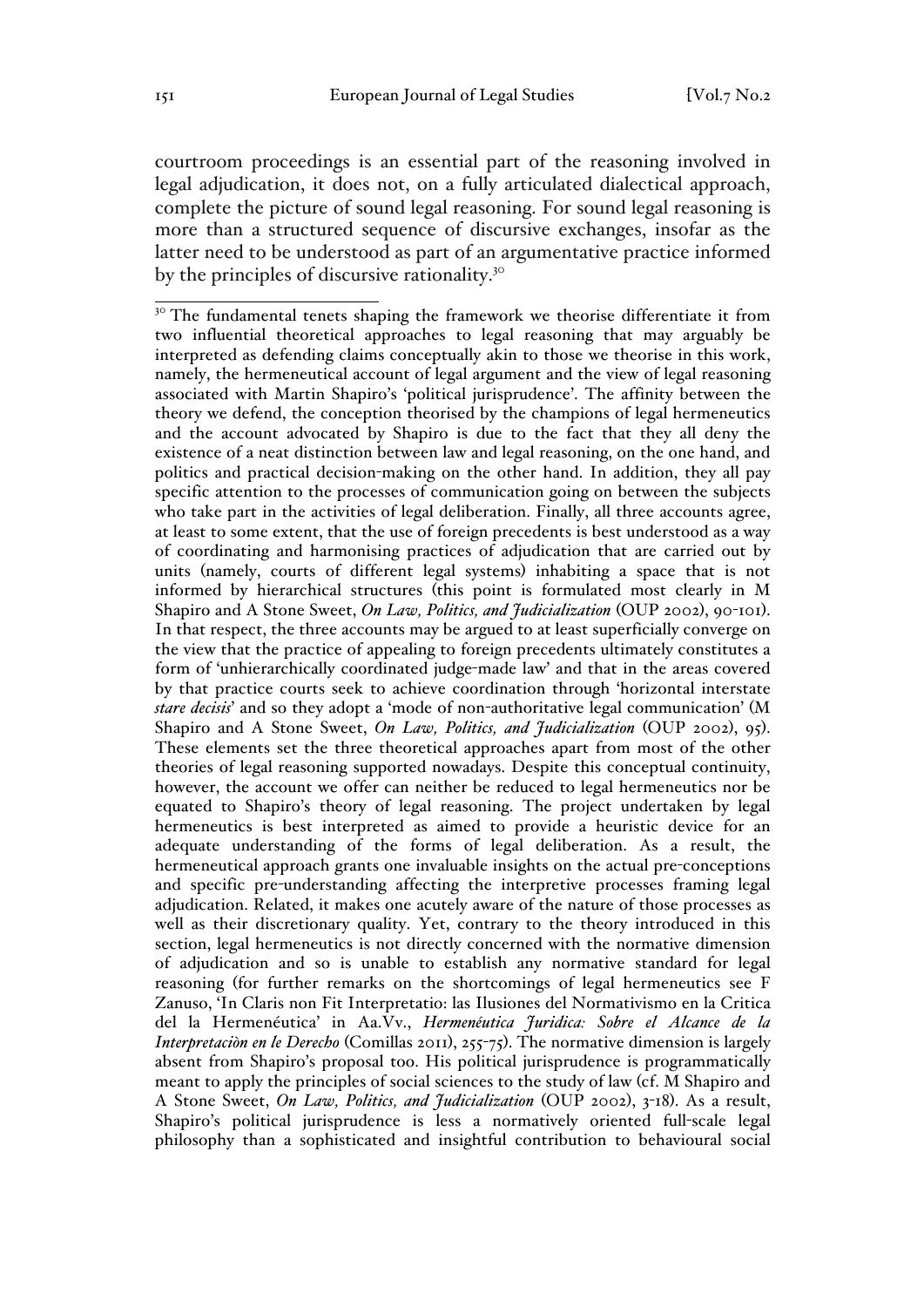courtroom proceedings is an essential part of the reasoning involved in legal adjudication, it does not, on a fully articulated dialectical approach, complete the picture of sound legal reasoning. For sound legal reasoning is more than a structured sequence of discursive exchanges, insofar as the latter need to be understood as part of an argumentative practice informed by the principles of discursive rationality.<sup>30</sup>

<sup>&</sup>lt;sup>30</sup> The fundamental tenets shaping the framework we theorise differentiate it from two influential theoretical approaches to legal reasoning that may arguably be interpreted as defending claims conceptually akin to those we theorise in this work, namely, the hermeneutical account of legal argument and the view of legal reasoning associated with Martin Shapiro's 'political jurisprudence'. The affinity between the theory we defend, the conception theorised by the champions of legal hermeneutics and the account advocated by Shapiro is due to the fact that they all deny the existence of a neat distinction between law and legal reasoning, on the one hand, and politics and practical decision-making on the other hand. In addition, they all pay specific attention to the processes of communication going on between the subjects who take part in the activities of legal deliberation. Finally, all three accounts agree, at least to some extent, that the use of foreign precedents is best understood as a way of coordinating and harmonising practices of adjudication that are carried out by units (namely, courts of different legal systems) inhabiting a space that is not informed by hierarchical structures (this point is formulated most clearly in M Shapiro and A Stone Sweet, *On Law, Politics, and Judicialization* (OUP 2002), 90-101). In that respect, the three accounts may be argued to at least superficially converge on the view that the practice of appealing to foreign precedents ultimately constitutes a form of 'unhierarchically coordinated judge-made law' and that in the areas covered by that practice courts seek to achieve coordination through 'horizontal interstate *stare decisis*' and so they adopt a 'mode of non-authoritative legal communication' (M Shapiro and A Stone Sweet, *On Law, Politics, and Judicialization* (OUP 2002), 95). These elements set the three theoretical approaches apart from most of the other theories of legal reasoning supported nowadays. Despite this conceptual continuity, however, the account we offer can neither be reduced to legal hermeneutics nor be equated to Shapiro's theory of legal reasoning. The project undertaken by legal hermeneutics is best interpreted as aimed to provide a heuristic device for an adequate understanding of the forms of legal deliberation. As a result, the hermeneutical approach grants one invaluable insights on the actual pre-conceptions and specific pre-understanding affecting the interpretive processes framing legal adjudication. Related, it makes one acutely aware of the nature of those processes as well as their discretionary quality. Yet, contrary to the theory introduced in this section, legal hermeneutics is not directly concerned with the normative dimension of adjudication and so is unable to establish any normative standard for legal reasoning (for further remarks on the shortcomings of legal hermeneutics see F Zanuso, 'In Claris non Fit Interpretatio: las Ilusiones del Normativismo en la Critica del la Hermenéutica' in Aa.Vv., *Hermenéutica Juridica: Sobre el Alcance de la Interpretaciòn en le Derecho* (Comillas 2011), 255-75). The normative dimension is largely absent from Shapiro's proposal too. His political jurisprudence is programmatically meant to apply the principles of social sciences to the study of law (cf. M Shapiro and A Stone Sweet, *On Law, Politics, and Judicialization* (OUP 2002), 3-18). As a result, Shapiro's political jurisprudence is less a normatively oriented full-scale legal philosophy than a sophisticated and insightful contribution to behavioural social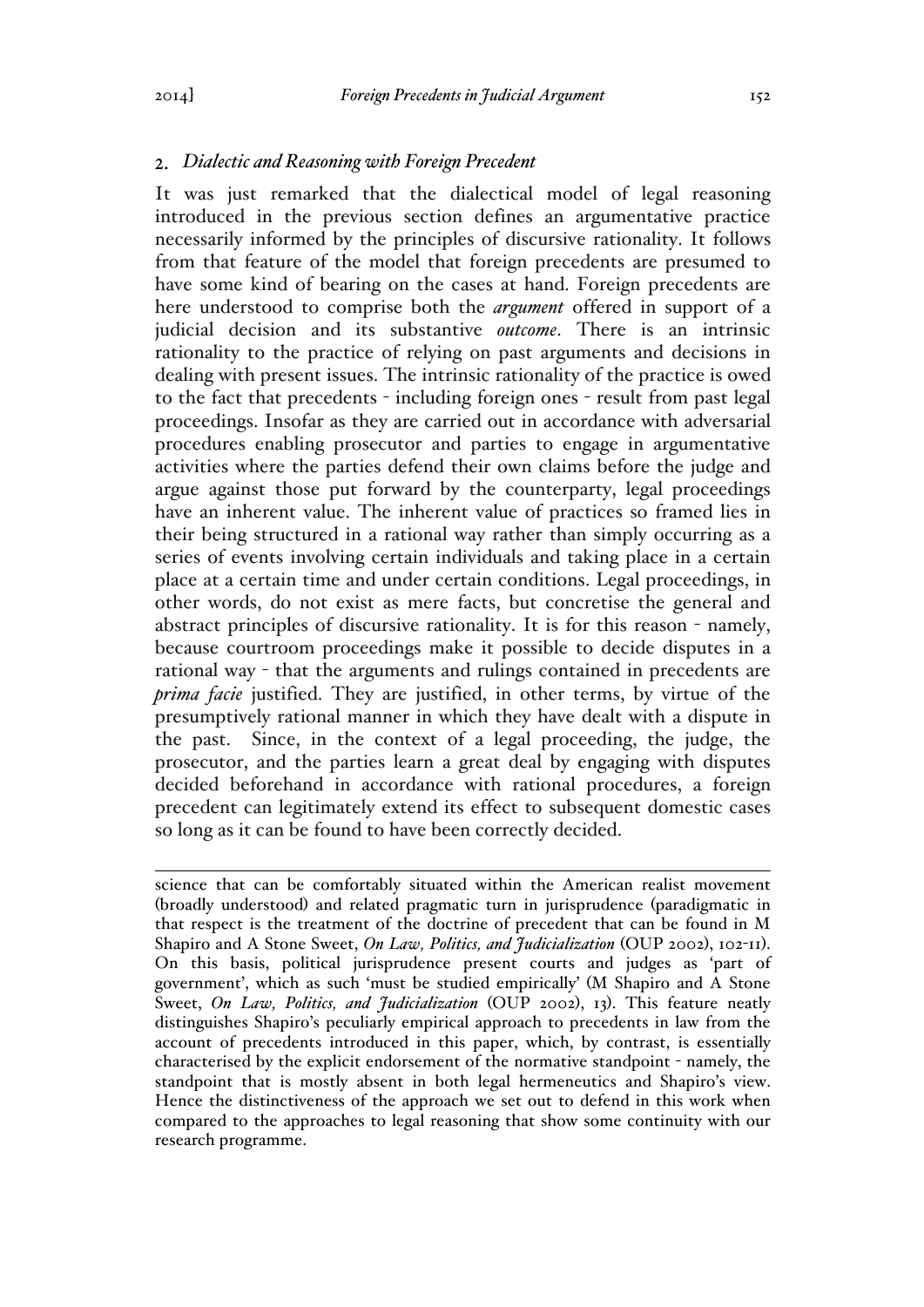# *Dialectic and Reasoning with Foreign Precedent*

It was just remarked that the dialectical model of legal reasoning introduced in the previous section defines an argumentative practice necessarily informed by the principles of discursive rationality. It follows from that feature of the model that foreign precedents are presumed to have some kind of bearing on the cases at hand. Foreign precedents are here understood to comprise both the *argument* offered in support of a judicial decision and its substantive *outcome*. There is an intrinsic rationality to the practice of relying on past arguments and decisions in dealing with present issues. The intrinsic rationality of the practice is owed to the fact that precedents - including foreign ones - result from past legal proceedings. Insofar as they are carried out in accordance with adversarial procedures enabling prosecutor and parties to engage in argumentative activities where the parties defend their own claims before the judge and argue against those put forward by the counterparty, legal proceedings have an inherent value. The inherent value of practices so framed lies in their being structured in a rational way rather than simply occurring as a series of events involving certain individuals and taking place in a certain place at a certain time and under certain conditions. Legal proceedings, in other words, do not exist as mere facts, but concretise the general and abstract principles of discursive rationality. It is for this reason - namely, because courtroom proceedings make it possible to decide disputes in a rational way - that the arguments and rulings contained in precedents are *prima facie* justified. They are justified, in other terms, by virtue of the presumptively rational manner in which they have dealt with a dispute in the past. Since, in the context of a legal proceeding, the judge, the prosecutor, and the parties learn a great deal by engaging with disputes decided beforehand in accordance with rational procedures, a foreign precedent can legitimately extend its effect to subsequent domestic cases so long as it can be found to have been correctly decided.

 $\overline{a}$ science that can be comfortably situated within the American realist movement (broadly understood) and related pragmatic turn in jurisprudence (paradigmatic in that respect is the treatment of the doctrine of precedent that can be found in M Shapiro and A Stone Sweet, *On Law, Politics, and Judicialization* (OUP 2002), 102-11). On this basis, political jurisprudence present courts and judges as 'part of government', which as such 'must be studied empirically' (M Shapiro and A Stone Sweet, *On Law, Politics, and Judicialization* (OUP 2002), 13). This feature neatly distinguishes Shapiro's peculiarly empirical approach to precedents in law from the account of precedents introduced in this paper, which, by contrast, is essentially characterised by the explicit endorsement of the normative standpoint - namely, the standpoint that is mostly absent in both legal hermeneutics and Shapiro's view. Hence the distinctiveness of the approach we set out to defend in this work when compared to the approaches to legal reasoning that show some continuity with our research programme.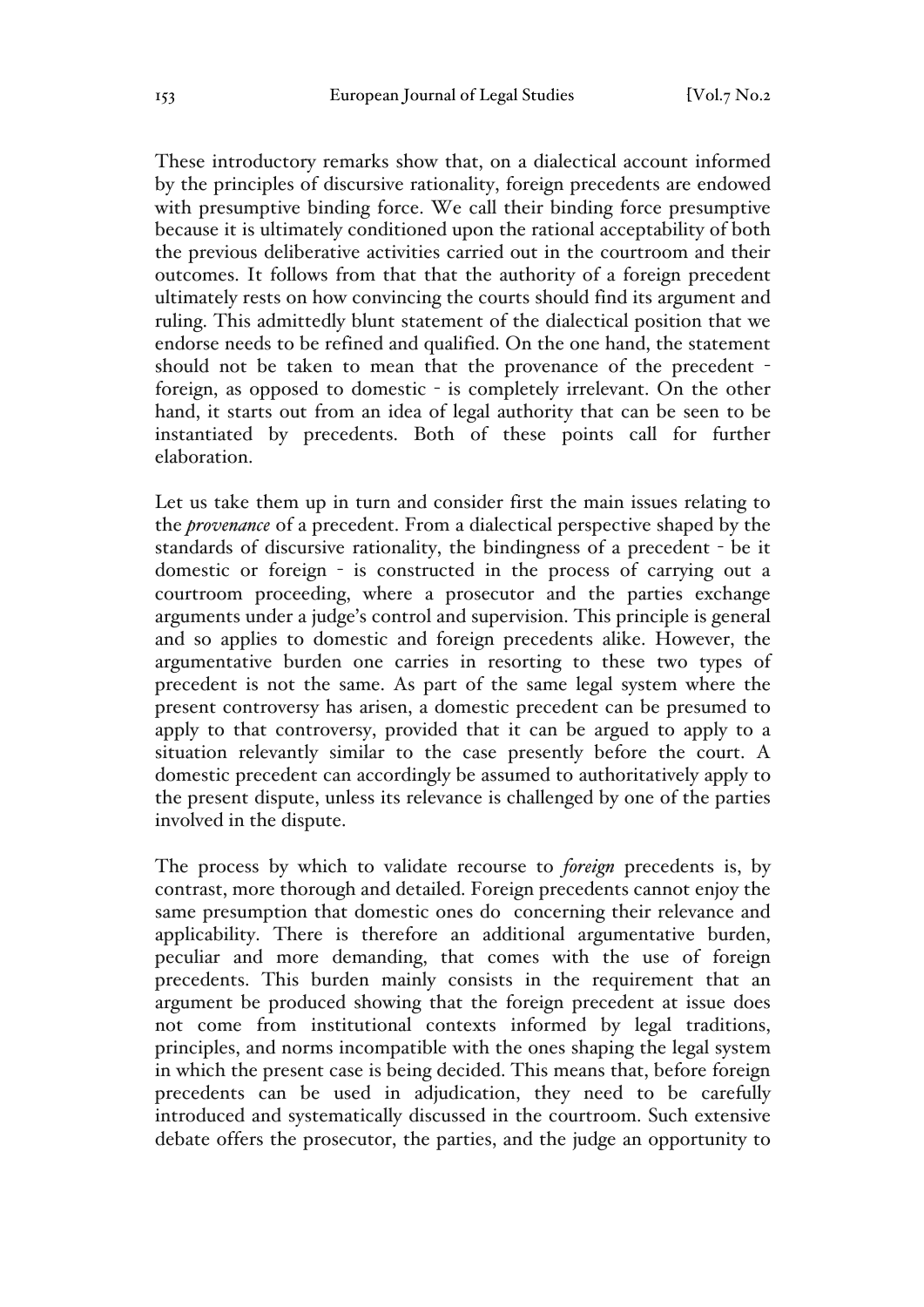These introductory remarks show that, on a dialectical account informed by the principles of discursive rationality, foreign precedents are endowed with presumptive binding force. We call their binding force presumptive because it is ultimately conditioned upon the rational acceptability of both the previous deliberative activities carried out in the courtroom and their outcomes. It follows from that that the authority of a foreign precedent ultimately rests on how convincing the courts should find its argument and ruling. This admittedly blunt statement of the dialectical position that we endorse needs to be refined and qualified. On the one hand, the statement should not be taken to mean that the provenance of the precedent foreign, as opposed to domestic - is completely irrelevant. On the other hand, it starts out from an idea of legal authority that can be seen to be instantiated by precedents. Both of these points call for further elaboration.

Let us take them up in turn and consider first the main issues relating to the *provenance* of a precedent. From a dialectical perspective shaped by the standards of discursive rationality, the bindingness of a precedent - be it domestic or foreign - is constructed in the process of carrying out a courtroom proceeding, where a prosecutor and the parties exchange arguments under a judge's control and supervision. This principle is general and so applies to domestic and foreign precedents alike. However, the argumentative burden one carries in resorting to these two types of precedent is not the same. As part of the same legal system where the present controversy has arisen, a domestic precedent can be presumed to apply to that controversy, provided that it can be argued to apply to a situation relevantly similar to the case presently before the court. A domestic precedent can accordingly be assumed to authoritatively apply to the present dispute, unless its relevance is challenged by one of the parties involved in the dispute.

The process by which to validate recourse to *foreign* precedents is, by contrast, more thorough and detailed. Foreign precedents cannot enjoy the same presumption that domestic ones do concerning their relevance and applicability. There is therefore an additional argumentative burden, peculiar and more demanding, that comes with the use of foreign precedents. This burden mainly consists in the requirement that an argument be produced showing that the foreign precedent at issue does not come from institutional contexts informed by legal traditions, principles, and norms incompatible with the ones shaping the legal system in which the present case is being decided. This means that, before foreign precedents can be used in adjudication, they need to be carefully introduced and systematically discussed in the courtroom. Such extensive debate offers the prosecutor, the parties, and the judge an opportunity to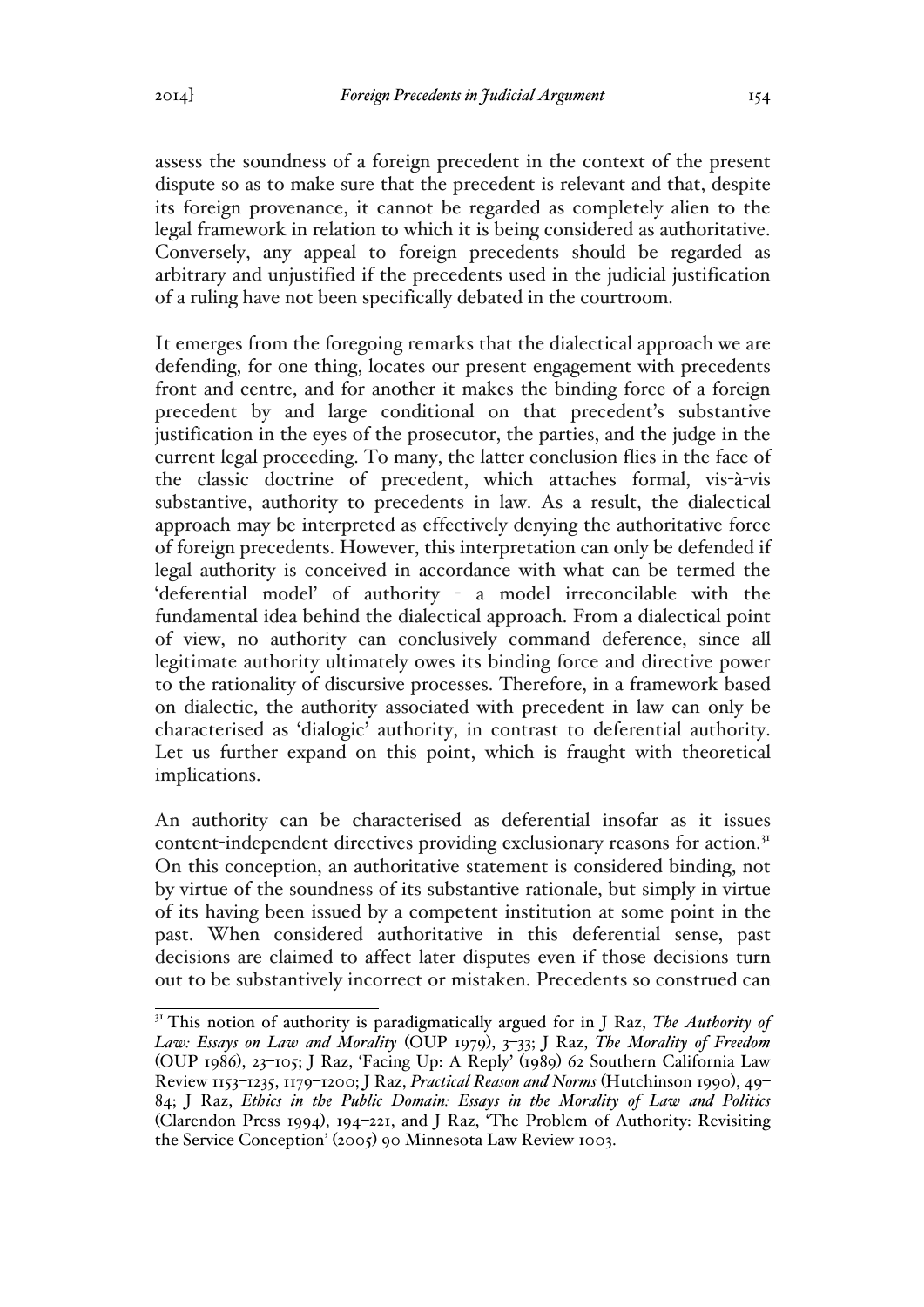assess the soundness of a foreign precedent in the context of the present dispute so as to make sure that the precedent is relevant and that, despite its foreign provenance, it cannot be regarded as completely alien to the legal framework in relation to which it is being considered as authoritative. Conversely, any appeal to foreign precedents should be regarded as arbitrary and unjustified if the precedents used in the judicial justification of a ruling have not been specifically debated in the courtroom.

It emerges from the foregoing remarks that the dialectical approach we are defending, for one thing, locates our present engagement with precedents front and centre, and for another it makes the binding force of a foreign precedent by and large conditional on that precedent's substantive justification in the eyes of the prosecutor, the parties, and the judge in the current legal proceeding. To many, the latter conclusion flies in the face of the classic doctrine of precedent, which attaches formal, vis-à-vis substantive, authority to precedents in law. As a result, the dialectical approach may be interpreted as effectively denying the authoritative force of foreign precedents. However, this interpretation can only be defended if legal authority is conceived in accordance with what can be termed the 'deferential model' of authority - a model irreconcilable with the fundamental idea behind the dialectical approach. From a dialectical point of view, no authority can conclusively command deference, since all legitimate authority ultimately owes its binding force and directive power to the rationality of discursive processes. Therefore, in a framework based on dialectic, the authority associated with precedent in law can only be characterised as 'dialogic' authority, in contrast to deferential authority. Let us further expand on this point, which is fraught with theoretical implications.

An authority can be characterised as deferential insofar as it issues content-independent directives providing exclusionary reasons for action.<sup>31</sup> On this conception, an authoritative statement is considered binding, not by virtue of the soundness of its substantive rationale, but simply in virtue of its having been issued by a competent institution at some point in the past. When considered authoritative in this deferential sense, past decisions are claimed to affect later disputes even if those decisions turn out to be substantively incorrect or mistaken. Precedents so construed can

<sup>&</sup>lt;sup>31</sup> This notion of authority is paradigmatically argued for in J Raz, *The Authority of Law: Essays on Law and Morality* (OUP 1979), 3–33; J Raz, *The Morality of Freedom* (OUP 1986), 23–105; J Raz, 'Facing Up: A Reply' (1989) 62 Southern California Law Review 1153–1235, 1179–1200; J Raz, *Practical Reason and Norms* (Hutchinson 1990), 49– 84; J Raz, *Ethics in the Public Domain: Essays in the Morality of Law and Politics* (Clarendon Press 1994), 194–221, and J Raz, 'The Problem of Authority: Revisiting the Service Conception' (2005) 90 Minnesota Law Review 1003.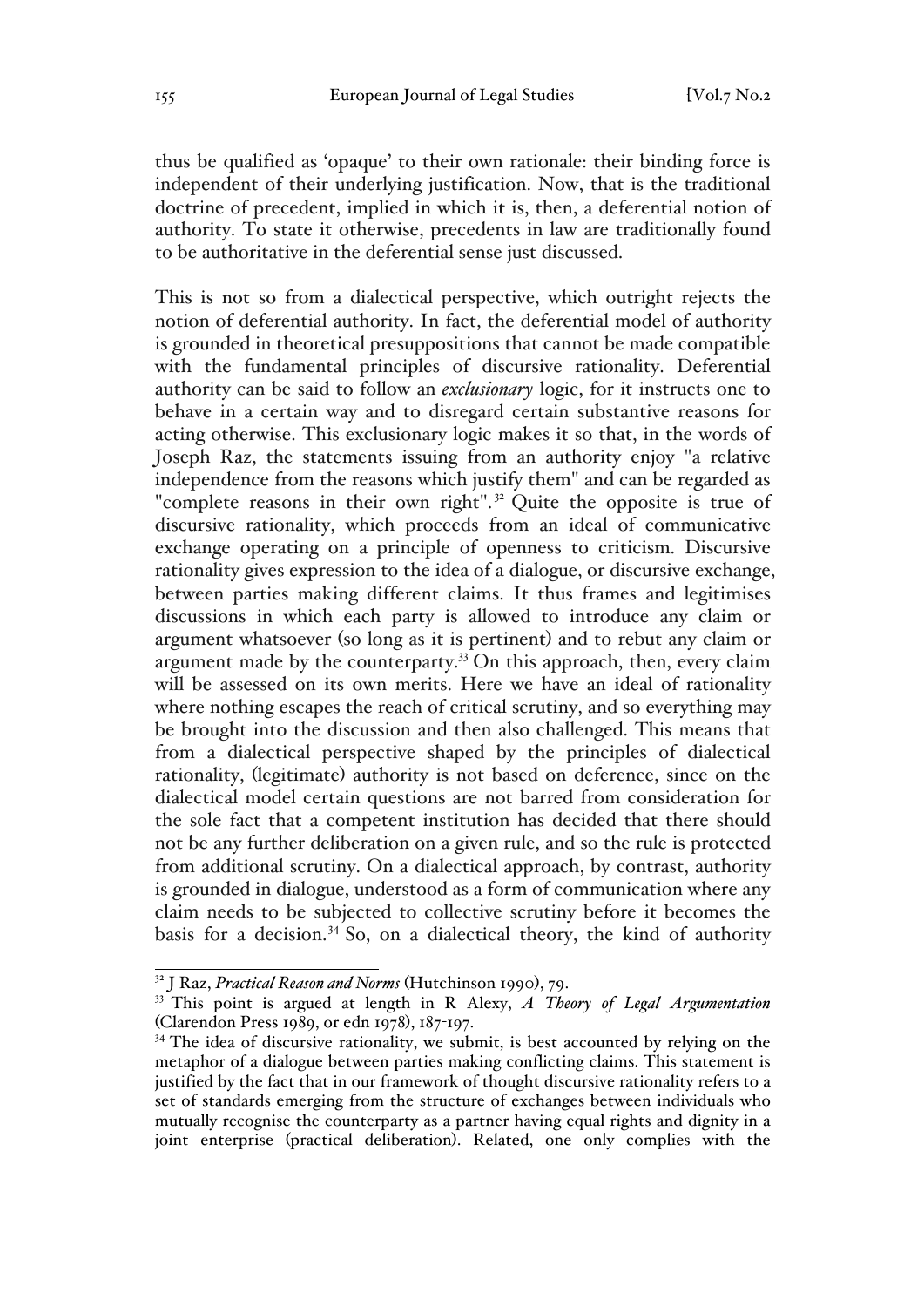thus be qualified as 'opaque' to their own rationale: their binding force is independent of their underlying justification. Now, that is the traditional doctrine of precedent, implied in which it is, then, a deferential notion of authority. To state it otherwise, precedents in law are traditionally found to be authoritative in the deferential sense just discussed.

This is not so from a dialectical perspective, which outright rejects the notion of deferential authority. In fact, the deferential model of authority is grounded in theoretical presuppositions that cannot be made compatible with the fundamental principles of discursive rationality. Deferential authority can be said to follow an *exclusionary* logic, for it instructs one to behave in a certain way and to disregard certain substantive reasons for acting otherwise. This exclusionary logic makes it so that, in the words of Joseph Raz, the statements issuing from an authority enjoy "a relative independence from the reasons which justify them" and can be regarded as "complete reasons in their own right".<sup>32</sup> Quite the opposite is true of discursive rationality, which proceeds from an ideal of communicative exchange operating on a principle of openness to criticism. Discursive rationality gives expression to the idea of a dialogue, or discursive exchange, between parties making different claims. It thus frames and legitimises discussions in which each party is allowed to introduce any claim or argument whatsoever (so long as it is pertinent) and to rebut any claim or argument made by the counterparty.33 On this approach, then, every claim will be assessed on its own merits. Here we have an ideal of rationality where nothing escapes the reach of critical scrutiny, and so everything may be brought into the discussion and then also challenged. This means that from a dialectical perspective shaped by the principles of dialectical rationality, (legitimate) authority is not based on deference, since on the dialectical model certain questions are not barred from consideration for the sole fact that a competent institution has decided that there should not be any further deliberation on a given rule, and so the rule is protected from additional scrutiny. On a dialectical approach, by contrast, authority is grounded in dialogue, understood as a form of communication where any claim needs to be subjected to collective scrutiny before it becomes the basis for a decision. $34$  So, on a dialectical theory, the kind of authority

<sup>32</sup> J Raz, *Practical Reason and Norms* (Hutchinson 1990), 79.

<sup>33</sup> This point is argued at length in R Alexy, *A Theory of Legal Argumentation*  (Clarendon Press 1989, or edn 1978), 187-197.

<sup>&</sup>lt;sup>34</sup> The idea of discursive rationality, we submit, is best accounted by relying on the metaphor of a dialogue between parties making conflicting claims. This statement is justified by the fact that in our framework of thought discursive rationality refers to a set of standards emerging from the structure of exchanges between individuals who mutually recognise the counterparty as a partner having equal rights and dignity in a joint enterprise (practical deliberation). Related, one only complies with the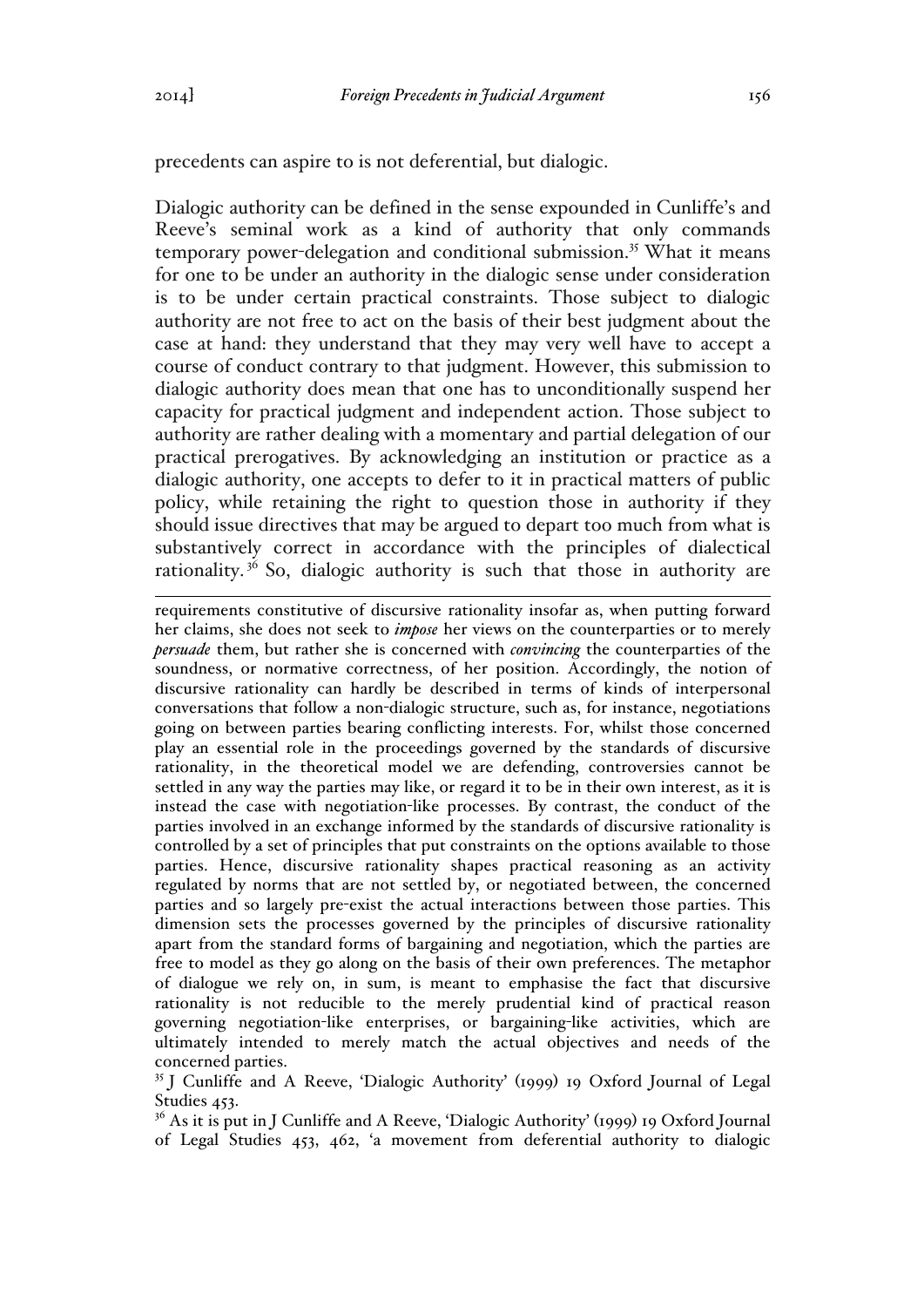precedents can aspire to is not deferential, but dialogic.

Dialogic authority can be defined in the sense expounded in Cunliffe's and Reeve's seminal work as a kind of authority that only commands temporary power-delegation and conditional submission.<sup>35</sup> What it means for one to be under an authority in the dialogic sense under consideration is to be under certain practical constraints. Those subject to dialogic authority are not free to act on the basis of their best judgment about the case at hand: they understand that they may very well have to accept a course of conduct contrary to that judgment. However, this submission to dialogic authority does mean that one has to unconditionally suspend her capacity for practical judgment and independent action. Those subject to authority are rather dealing with a momentary and partial delegation of our practical prerogatives. By acknowledging an institution or practice as a dialogic authority, one accepts to defer to it in practical matters of public policy, while retaining the right to question those in authority if they should issue directives that may be argued to depart too much from what is substantively correct in accordance with the principles of dialectical rationality.<sup> $36$ </sup> So, dialogic authority is such that those in authority are

 $\overline{a}$ requirements constitutive of discursive rationality insofar as, when putting forward her claims, she does not seek to *impose* her views on the counterparties or to merely *persuade* them, but rather she is concerned with *convincing* the counterparties of the soundness, or normative correctness, of her position. Accordingly, the notion of discursive rationality can hardly be described in terms of kinds of interpersonal conversations that follow a non-dialogic structure, such as, for instance, negotiations going on between parties bearing conflicting interests. For, whilst those concerned play an essential role in the proceedings governed by the standards of discursive rationality, in the theoretical model we are defending, controversies cannot be settled in any way the parties may like, or regard it to be in their own interest, as it is instead the case with negotiation-like processes. By contrast, the conduct of the parties involved in an exchange informed by the standards of discursive rationality is controlled by a set of principles that put constraints on the options available to those parties. Hence, discursive rationality shapes practical reasoning as an activity regulated by norms that are not settled by, or negotiated between, the concerned parties and so largely pre-exist the actual interactions between those parties. This dimension sets the processes governed by the principles of discursive rationality apart from the standard forms of bargaining and negotiation, which the parties are free to model as they go along on the basis of their own preferences. The metaphor of dialogue we rely on, in sum, is meant to emphasise the fact that discursive rationality is not reducible to the merely prudential kind of practical reason governing negotiation-like enterprises, or bargaining-like activities, which are ultimately intended to merely match the actual objectives and needs of the concerned parties.

<sup>35</sup> J Cunliffe and A Reeve, 'Dialogic Authority' (1999) 19 Oxford Journal of Legal Studies 453.

 $36$  As it is put in J Cunliffe and A Reeve, 'Dialogic Authority' (1999) 19 Oxford Journal of Legal Studies 453, 462, 'a movement from deferential authority to dialogic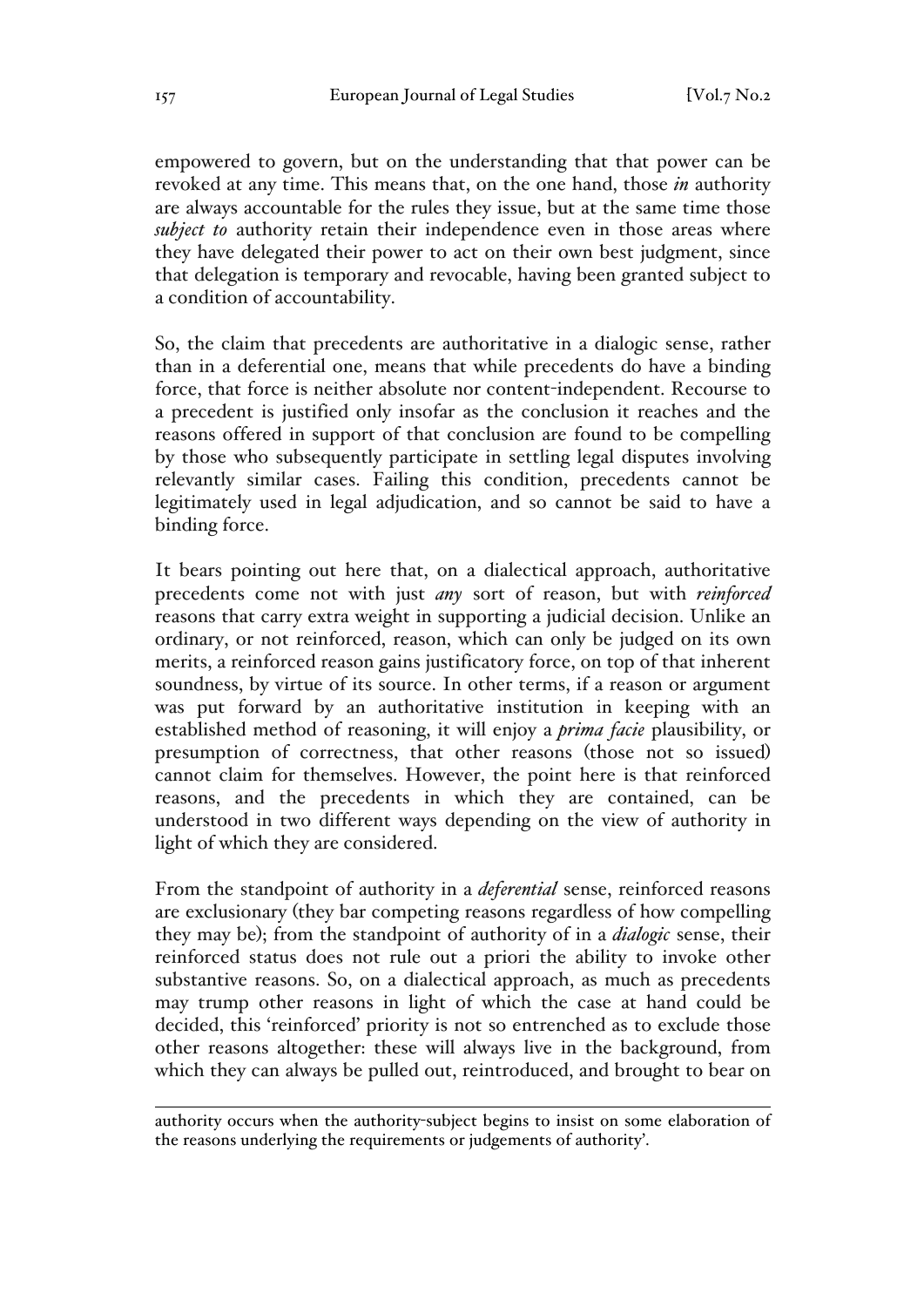empowered to govern, but on the understanding that that power can be revoked at any time. This means that, on the one hand, those *in* authority are always accountable for the rules they issue, but at the same time those *subject to* authority retain their independence even in those areas where they have delegated their power to act on their own best judgment, since that delegation is temporary and revocable, having been granted subject to a condition of accountability.

So, the claim that precedents are authoritative in a dialogic sense, rather than in a deferential one, means that while precedents do have a binding force, that force is neither absolute nor content-independent. Recourse to a precedent is justified only insofar as the conclusion it reaches and the reasons offered in support of that conclusion are found to be compelling by those who subsequently participate in settling legal disputes involving relevantly similar cases. Failing this condition, precedents cannot be legitimately used in legal adjudication, and so cannot be said to have a binding force.

It bears pointing out here that, on a dialectical approach, authoritative precedents come not with just *any* sort of reason, but with *reinforced*  reasons that carry extra weight in supporting a judicial decision. Unlike an ordinary, or not reinforced, reason, which can only be judged on its own merits, a reinforced reason gains justificatory force, on top of that inherent soundness, by virtue of its source. In other terms, if a reason or argument was put forward by an authoritative institution in keeping with an established method of reasoning, it will enjoy a *prima facie* plausibility, or presumption of correctness, that other reasons (those not so issued) cannot claim for themselves. However, the point here is that reinforced reasons, and the precedents in which they are contained, can be understood in two different ways depending on the view of authority in light of which they are considered.

From the standpoint of authority in a *deferential* sense, reinforced reasons are exclusionary (they bar competing reasons regardless of how compelling they may be); from the standpoint of authority of in a *dialogic* sense, their reinforced status does not rule out a priori the ability to invoke other substantive reasons. So, on a dialectical approach, as much as precedents may trump other reasons in light of which the case at hand could be decided, this 'reinforced' priority is not so entrenched as to exclude those other reasons altogether: these will always live in the background, from which they can always be pulled out, reintroduced, and brought to bear on

 $\overline{a}$ authority occurs when the authority-subject begins to insist on some elaboration of the reasons underlying the requirements or judgements of authority'.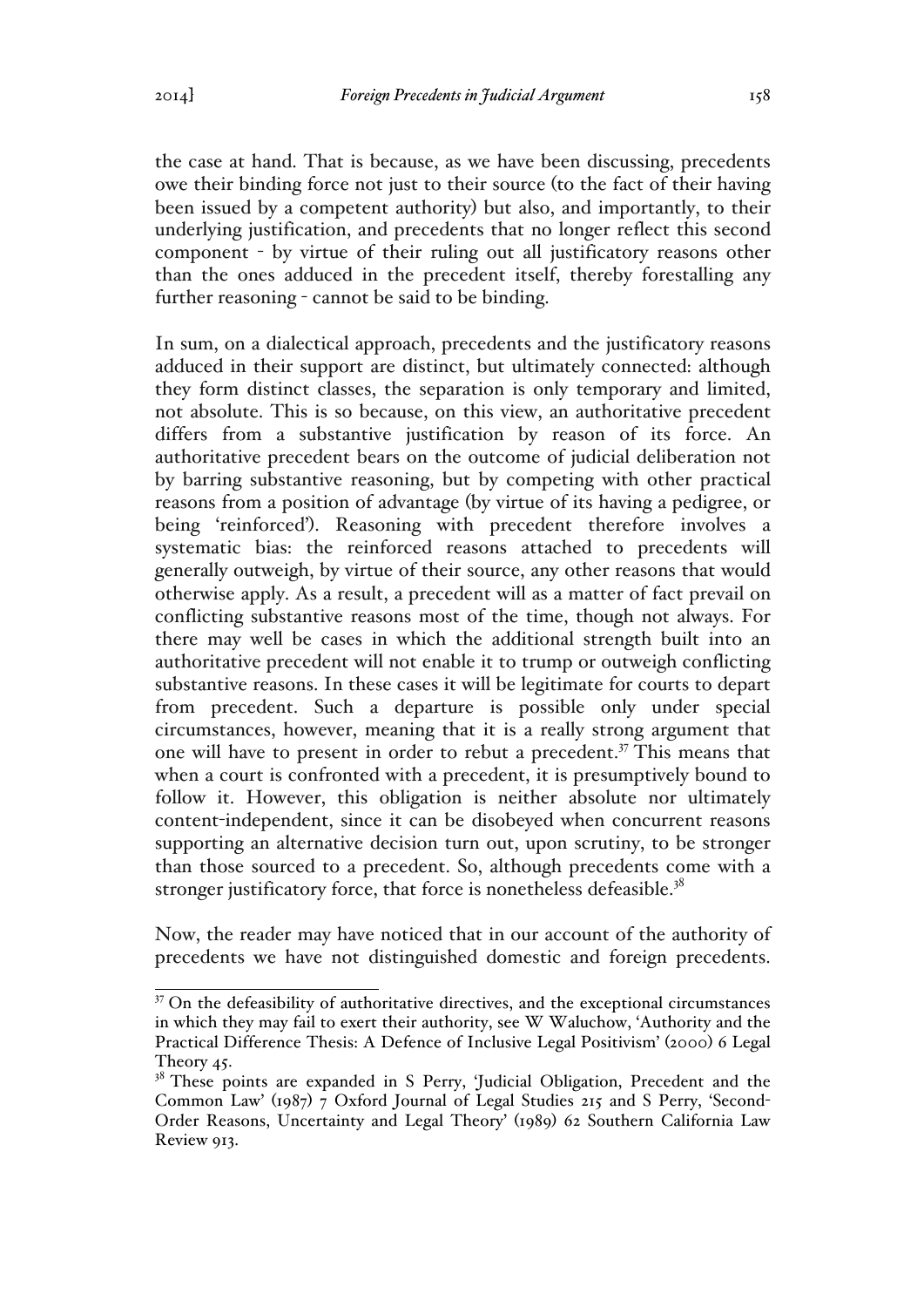the case at hand. That is because, as we have been discussing, precedents owe their binding force not just to their source (to the fact of their having been issued by a competent authority) but also, and importantly, to their underlying justification, and precedents that no longer reflect this second component - by virtue of their ruling out all justificatory reasons other than the ones adduced in the precedent itself, thereby forestalling any further reasoning - cannot be said to be binding.

In sum, on a dialectical approach, precedents and the justificatory reasons adduced in their support are distinct, but ultimately connected: although they form distinct classes, the separation is only temporary and limited, not absolute. This is so because, on this view, an authoritative precedent differs from a substantive justification by reason of its force. An authoritative precedent bears on the outcome of judicial deliberation not by barring substantive reasoning, but by competing with other practical reasons from a position of advantage (by virtue of its having a pedigree, or being 'reinforced'). Reasoning with precedent therefore involves a systematic bias: the reinforced reasons attached to precedents will generally outweigh, by virtue of their source, any other reasons that would otherwise apply. As a result, a precedent will as a matter of fact prevail on conflicting substantive reasons most of the time, though not always. For there may well be cases in which the additional strength built into an authoritative precedent will not enable it to trump or outweigh conflicting substantive reasons. In these cases it will be legitimate for courts to depart from precedent. Such a departure is possible only under special circumstances, however, meaning that it is a really strong argument that one will have to present in order to rebut a precedent.<sup>37</sup> This means that when a court is confronted with a precedent, it is presumptively bound to follow it. However, this obligation is neither absolute nor ultimately content-independent, since it can be disobeyed when concurrent reasons supporting an alternative decision turn out, upon scrutiny, to be stronger than those sourced to a precedent. So, although precedents come with a stronger justificatory force, that force is nonetheless defeasible.<sup>38</sup>

Now, the reader may have noticed that in our account of the authority of precedents we have not distinguished domestic and foreign precedents.

<sup>&</sup>lt;sup>37</sup> On the defeasibility of authoritative directives, and the exceptional circumstances in which they may fail to exert their authority, see W Waluchow, 'Authority and the Practical Difference Thesis: A Defence of Inclusive Legal Positivism' (2000) 6 Legal Theory 45.

<sup>&</sup>lt;sup>38</sup> These points are expanded in S Perry, 'Judicial Obligation, Precedent and the Common Law' (1987) 7 Oxford Journal of Legal Studies 215 and S Perry, 'Second-Order Reasons, Uncertainty and Legal Theory' (1989) 62 Southern California Law Review 913.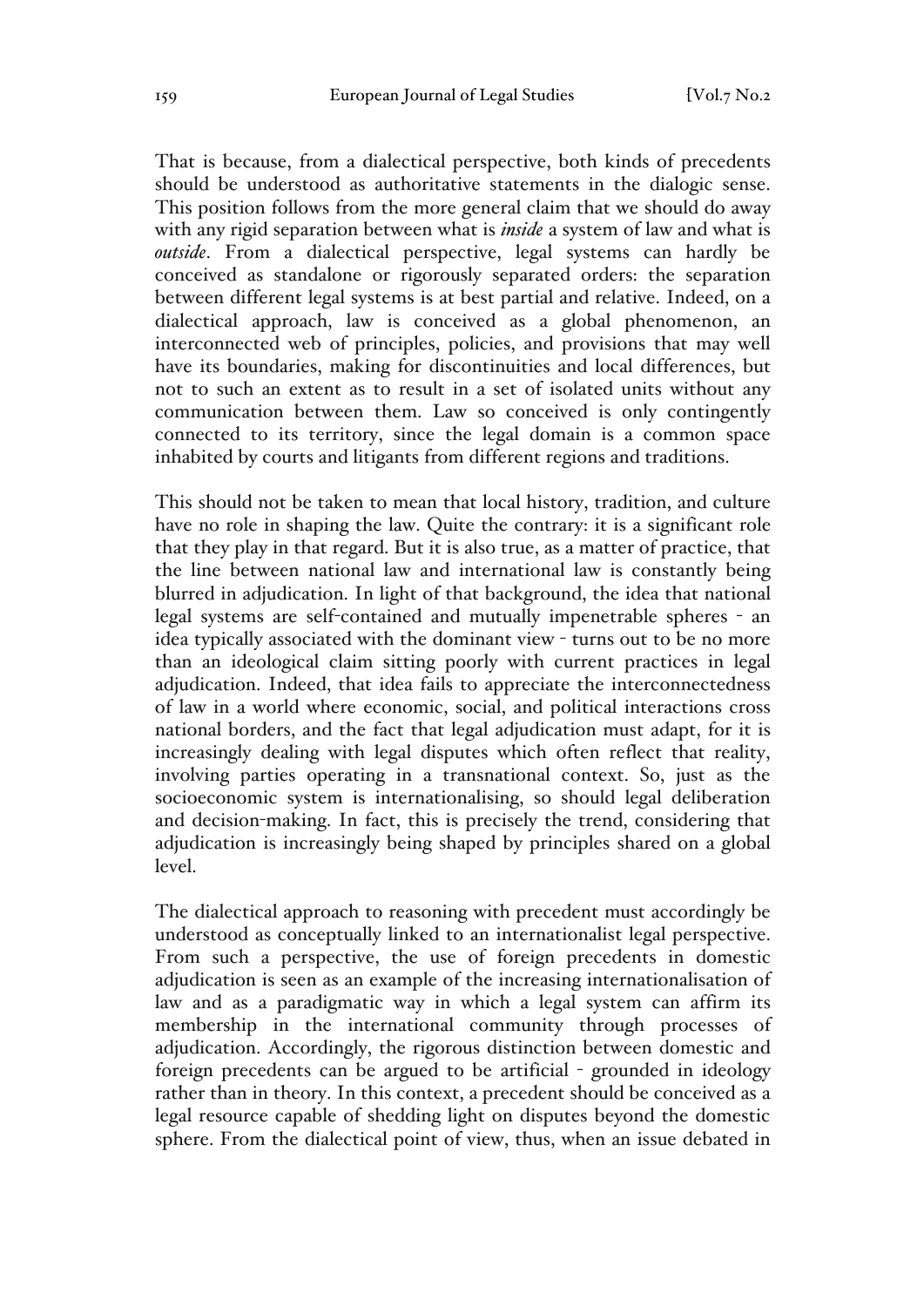That is because, from a dialectical perspective, both kinds of precedents should be understood as authoritative statements in the dialogic sense. This position follows from the more general claim that we should do away with any rigid separation between what is *inside* a system of law and what is *outside*. From a dialectical perspective, legal systems can hardly be conceived as standalone or rigorously separated orders: the separation between different legal systems is at best partial and relative. Indeed, on a dialectical approach, law is conceived as a global phenomenon, an interconnected web of principles, policies, and provisions that may well have its boundaries, making for discontinuities and local differences, but not to such an extent as to result in a set of isolated units without any communication between them. Law so conceived is only contingently connected to its territory, since the legal domain is a common space inhabited by courts and litigants from different regions and traditions.

This should not be taken to mean that local history, tradition, and culture have no role in shaping the law. Quite the contrary: it is a significant role that they play in that regard. But it is also true, as a matter of practice, that the line between national law and international law is constantly being blurred in adjudication. In light of that background, the idea that national legal systems are self-contained and mutually impenetrable spheres - an idea typically associated with the dominant view - turns out to be no more than an ideological claim sitting poorly with current practices in legal adjudication. Indeed, that idea fails to appreciate the interconnectedness of law in a world where economic, social, and political interactions cross national borders, and the fact that legal adjudication must adapt, for it is increasingly dealing with legal disputes which often reflect that reality, involving parties operating in a transnational context. So, just as the socioeconomic system is internationalising, so should legal deliberation and decision-making. In fact, this is precisely the trend, considering that adjudication is increasingly being shaped by principles shared on a global level.

The dialectical approach to reasoning with precedent must accordingly be understood as conceptually linked to an internationalist legal perspective. From such a perspective, the use of foreign precedents in domestic adjudication is seen as an example of the increasing internationalisation of law and as a paradigmatic way in which a legal system can affirm its membership in the international community through processes of adjudication. Accordingly, the rigorous distinction between domestic and foreign precedents can be argued to be artificial - grounded in ideology rather than in theory. In this context, a precedent should be conceived as a legal resource capable of shedding light on disputes beyond the domestic sphere. From the dialectical point of view, thus, when an issue debated in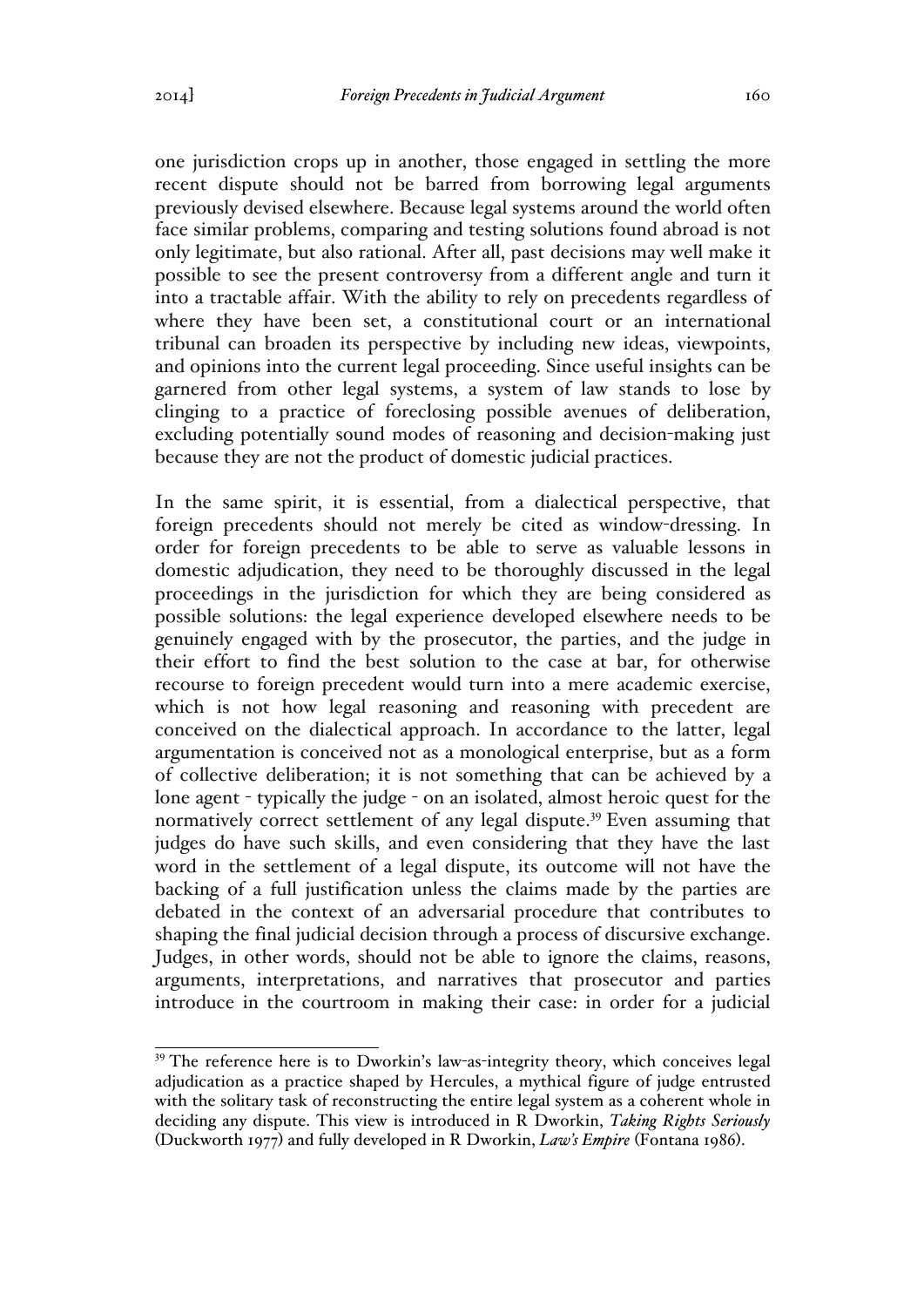one jurisdiction crops up in another, those engaged in settling the more recent dispute should not be barred from borrowing legal arguments previously devised elsewhere. Because legal systems around the world often face similar problems, comparing and testing solutions found abroad is not only legitimate, but also rational. After all, past decisions may well make it possible to see the present controversy from a different angle and turn it into a tractable affair. With the ability to rely on precedents regardless of where they have been set, a constitutional court or an international tribunal can broaden its perspective by including new ideas, viewpoints, and opinions into the current legal proceeding. Since useful insights can be garnered from other legal systems, a system of law stands to lose by clinging to a practice of foreclosing possible avenues of deliberation, excluding potentially sound modes of reasoning and decision-making just because they are not the product of domestic judicial practices.

In the same spirit, it is essential, from a dialectical perspective, that foreign precedents should not merely be cited as window-dressing. In order for foreign precedents to be able to serve as valuable lessons in domestic adjudication, they need to be thoroughly discussed in the legal proceedings in the jurisdiction for which they are being considered as possible solutions: the legal experience developed elsewhere needs to be genuinely engaged with by the prosecutor, the parties, and the judge in their effort to find the best solution to the case at bar, for otherwise recourse to foreign precedent would turn into a mere academic exercise, which is not how legal reasoning and reasoning with precedent are conceived on the dialectical approach. In accordance to the latter, legal argumentation is conceived not as a monological enterprise, but as a form of collective deliberation; it is not something that can be achieved by a lone agent - typically the judge - on an isolated, almost heroic quest for the normatively correct settlement of any legal dispute.<sup>39</sup> Even assuming that judges do have such skills, and even considering that they have the last word in the settlement of a legal dispute, its outcome will not have the backing of a full justification unless the claims made by the parties are debated in the context of an adversarial procedure that contributes to shaping the final judicial decision through a process of discursive exchange. Judges, in other words, should not be able to ignore the claims, reasons, arguments, interpretations, and narratives that prosecutor and parties introduce in the courtroom in making their case: in order for a judicial

<sup>&</sup>lt;sup>39</sup> The reference here is to Dworkin's law-as-integrity theory, which conceives legal adjudication as a practice shaped by Hercules, a mythical figure of judge entrusted with the solitary task of reconstructing the entire legal system as a coherent whole in deciding any dispute. This view is introduced in R Dworkin, *Taking Rights Seriously*  (Duckworth 1977) and fully developed in R Dworkin, *Law's Empire* (Fontana 1986).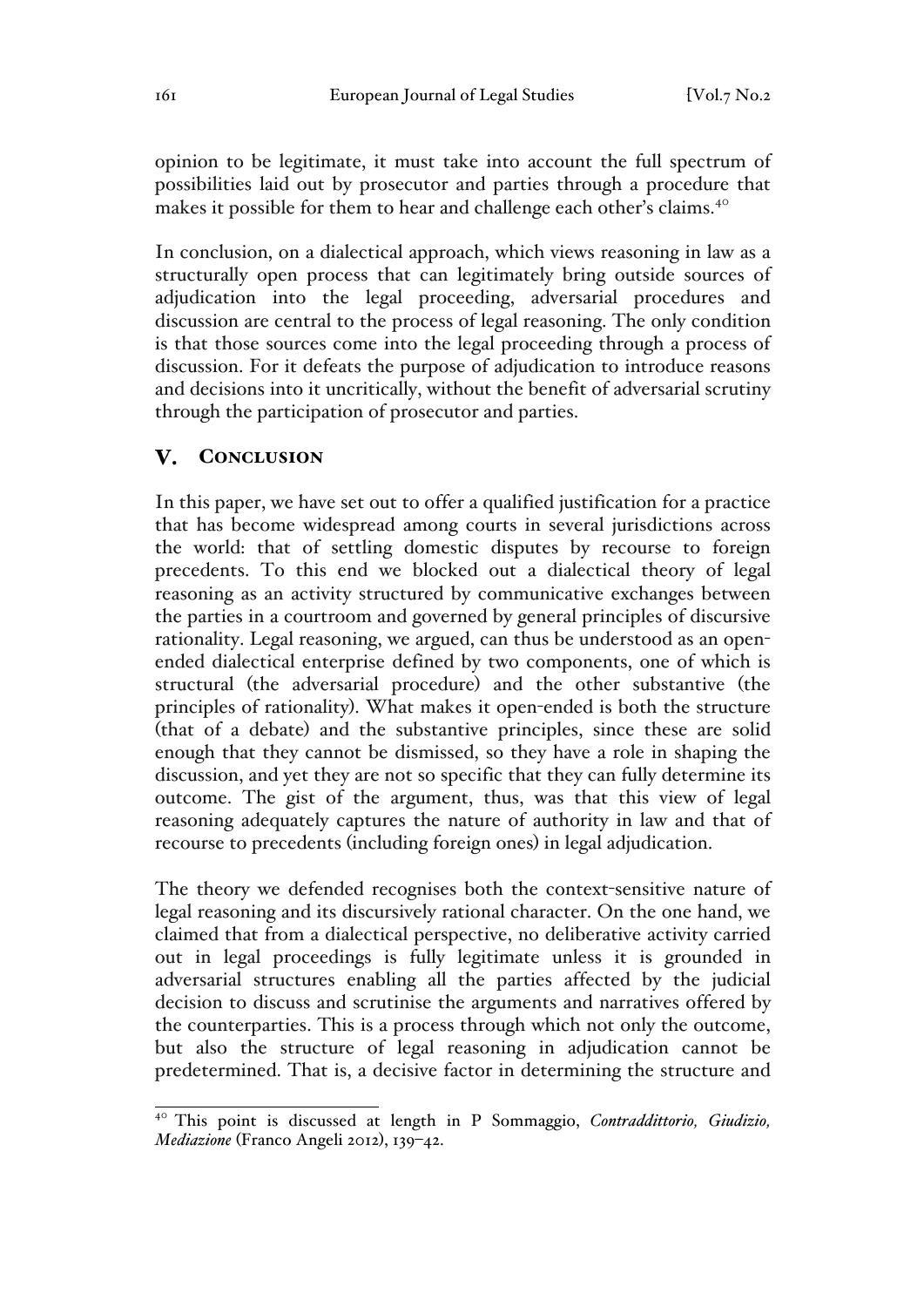opinion to be legitimate, it must take into account the full spectrum of possibilities laid out by prosecutor and parties through a procedure that makes it possible for them to hear and challenge each other's claims.<sup>40</sup>

In conclusion, on a dialectical approach, which views reasoning in law as a structurally open process that can legitimately bring outside sources of adjudication into the legal proceeding, adversarial procedures and discussion are central to the process of legal reasoning. The only condition is that those sources come into the legal proceeding through a process of discussion. For it defeats the purpose of adjudication to introduce reasons and decisions into it uncritically, without the benefit of adversarial scrutiny through the participation of prosecutor and parties.

#### $\mathbf{V}$ . **CONCLUSION**

In this paper, we have set out to offer a qualified justification for a practice that has become widespread among courts in several jurisdictions across the world: that of settling domestic disputes by recourse to foreign precedents. To this end we blocked out a dialectical theory of legal reasoning as an activity structured by communicative exchanges between the parties in a courtroom and governed by general principles of discursive rationality. Legal reasoning, we argued, can thus be understood as an openended dialectical enterprise defined by two components, one of which is structural (the adversarial procedure) and the other substantive (the principles of rationality). What makes it open-ended is both the structure (that of a debate) and the substantive principles, since these are solid enough that they cannot be dismissed, so they have a role in shaping the discussion, and yet they are not so specific that they can fully determine its outcome. The gist of the argument, thus, was that this view of legal reasoning adequately captures the nature of authority in law and that of recourse to precedents (including foreign ones) in legal adjudication.

The theory we defended recognises both the context-sensitive nature of legal reasoning and its discursively rational character. On the one hand, we claimed that from a dialectical perspective, no deliberative activity carried out in legal proceedings is fully legitimate unless it is grounded in adversarial structures enabling all the parties affected by the judicial decision to discuss and scrutinise the arguments and narratives offered by the counterparties. This is a process through which not only the outcome, but also the structure of legal reasoning in adjudication cannot be predetermined. That is, a decisive factor in determining the structure and

<sup>40</sup> This point is discussed at length in P Sommaggio, *Contraddittorio, Giudizio, Mediazione* (Franco Angeli 2012), 139–42.